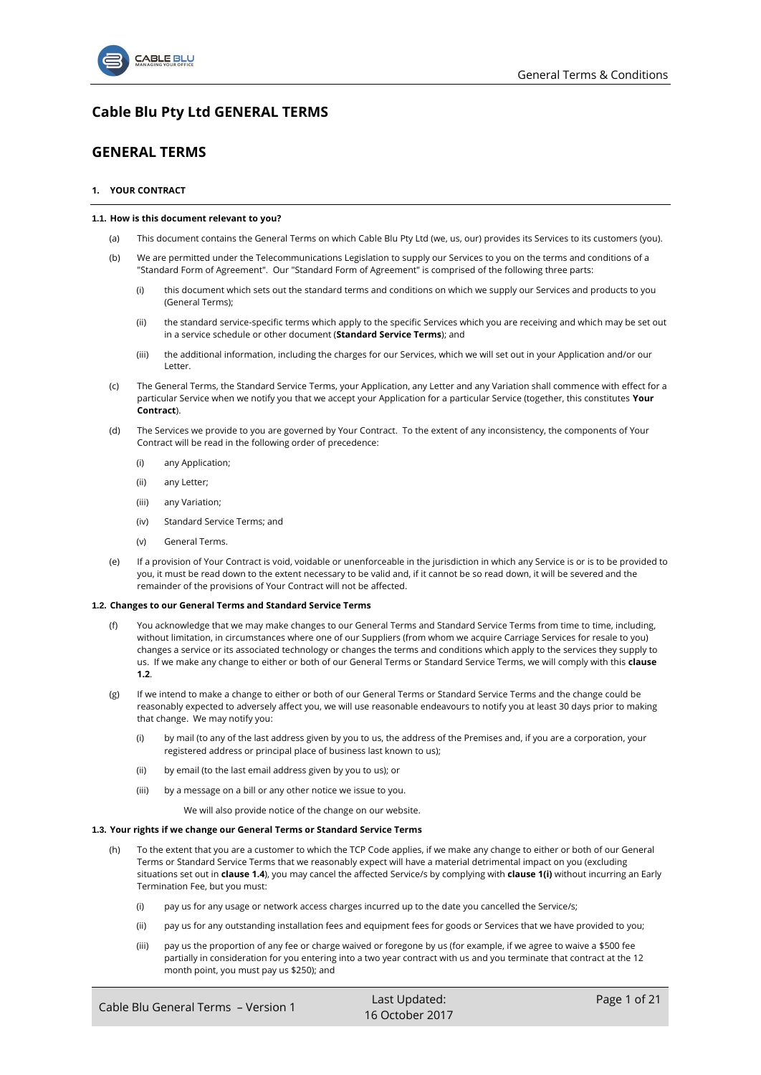

# **Cable Blu Pty Ltd GENERAL TERMS**

## **GENERAL TERMS**

## <span id="page-0-4"></span>**1. YOUR CONTRACT**

## **1.1. How is this document relevant to you?**

- (a) This document contains the General Terms on which Cable Blu Pty Ltd (we, us, our) provides its Services to its customers (you).
- <span id="page-0-7"></span><span id="page-0-6"></span>(b) We are permitted under the Telecommunications Legislation to supply our Services to you on the terms and conditions of a "Standard Form of Agreement". Our "Standard Form of Agreement" is comprised of the following three parts:
	- (i) this document which sets out the standard terms and conditions on which we supply our Services and products to you (General Terms);
	- (ii) the standard service-specific terms which apply to the specific Services which you are receiving and which may be set out in a service schedule or other document (**Standard Service Terms**); and
	- (iii) the additional information, including the charges for our Services, which we will set out in your Application and/or our Letter.
- <span id="page-0-3"></span>(c) The General Terms, the Standard Service Terms, your Application, any Letter and any Variation shall commence with effect for a particular Service when we notify you that we accept your Application for a particular Service (together, this constitutes **Your Contract**).
- (d) The Services we provide to you are governed by Your Contract. To the extent of any inconsistency, the components of Your Contract will be read in the following order of precedence:
	- (i) any Application;
	- (ii) any Letter;
	- (iii) any Variation;
	- (iv) Standard Service Terms; and
	- (v) General Terms.
- <span id="page-0-5"></span>(e) If a provision of Your Contract is void, voidable or unenforceable in the jurisdiction in which any Service is or is to be provided to you, it must be read down to the extent necessary to be valid and, if it cannot be so read down, it will be severed and the remainder of the provisions of Your Contract will not be affected.

### <span id="page-0-2"></span>**1.2. Changes to our General Terms and Standard Service Terms**

- (f) You acknowledge that we may make changes to our General Terms and Standard Service Terms from time to time, including, without limitation, in circumstances where one of our Suppliers (from whom we acquire Carriage Services for resale to you) changes a service or its associated technology or changes the terms and conditions which apply to the services they supply to us. If we make any change to either or both of our General Terms or Standard Service Terms, we will comply with this **clause 1.2**.
- If we intend to make a change to either or both of our General Terms or Standard Service Terms and the change could be reasonably expected to adversely affect you, we will use reasonable endeavours to notify you at least 30 days prior to making that change. We may notify you:
	- (i) by mail (to any of the last address given by you to us, the address of the Premises and, if you are a corporation, your registered address or principal place of business last known to us);
	- (ii) by email (to the last email address given by you to us); or
	- (iii) by a message on a bill or any other notice we issue to you.

We will also provide notice of the change on our website.

## <span id="page-0-1"></span><span id="page-0-0"></span>**1.3. Your rights if we change our General Terms or Standard Service Terms**

- (h) To the extent that you are a customer to which the TCP Code applies, if we make any change to either or both of our General Terms or Standard Service Terms that we reasonably expect will have a material detrimental impact on you (excluding situations set out in **claus[e 1.4](#page-1-0)**), you may cancel the affected Service/s by complying with **claus[e 1\(i\)](#page-1-1)** without incurring an Early Termination Fee, but you must:
	- (i) pay us for any usage or network access charges incurred up to the date you cancelled the Service/s;
	- (ii) pay us for any outstanding installation fees and equipment fees for goods or Services that we have provided to you;
	- (iii) pay us the proportion of any fee or charge waived or foregone by us (for example, if we agree to waive a \$500 fee partially in consideration for you entering into a two year contract with us and you terminate that contract at the 12 month point, you must pay us \$250); and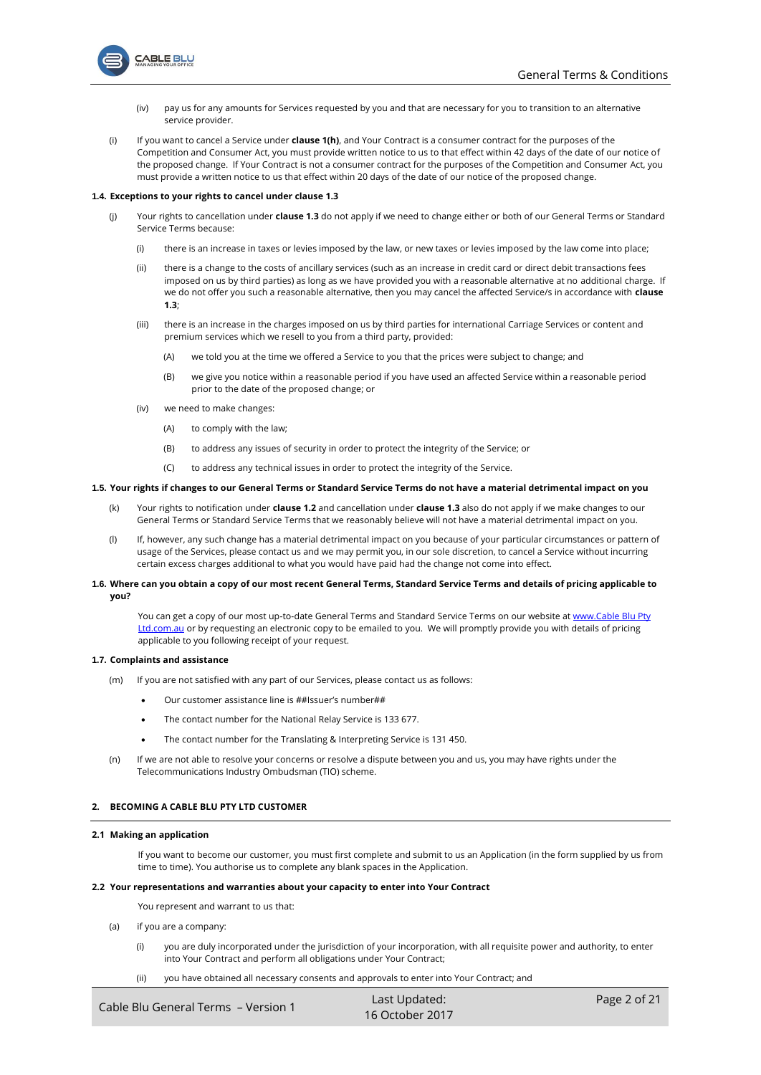

- (iv) pay us for any amounts for Services requested by you and that are necessary for you to transition to an alternative service provider.
- <span id="page-1-1"></span>(i) If you want to cancel a Service under **claus[e 1\(h\)](#page-0-0)**, and Your Contract is a consumer contract for the purposes of the Competition and Consumer Act, you must provide written notice to us to that effect within 42 days of the date of our notice of the proposed change. If Your Contract is not a consumer contract for the purposes of the Competition and Consumer Act, you must provide a written notice to us that effect within 20 days of the date of our notice of the proposed change.

### <span id="page-1-0"></span>**1.4. Exceptions to your rights to cancel under claus[e 1.3](#page-0-1)**

**ABLE BLU** 

- (j) Your rights to cancellation under **clause [1.3](#page-0-1)** do not apply if we need to change either or both of our General Terms or Standard Service Terms because:
	- (i) there is an increase in taxes or levies imposed by the law, or new taxes or levies imposed by the law come into place;
	- (ii) there is a change to the costs of ancillary services (such as an increase in credit card or direct debit transactions fees imposed on us by third parties) as long as we have provided you with a reasonable alternative at no additional charge. If we do not offer you such a reasonable alternative, then you may cancel the affected Service/s in accordance with **clause [1.3](#page-0-1)**;
	- (iii) there is an increase in the charges imposed on us by third parties for international Carriage Services or content and premium services which we resell to you from a third party, provided:
		- (A) we told you at the time we offered a Service to you that the prices were subject to change; and
		- (B) we give you notice within a reasonable period if you have used an affected Service within a reasonable period prior to the date of the proposed change; or
	- (iv) we need to make changes:
		- (A) to comply with the law;
		- (B) to address any issues of security in order to protect the integrity of the Service; or
		- (C) to address any technical issues in order to protect the integrity of the Service.

## **1.5. Your rights if changes to our General Terms or Standard Service Terms do not have a material detrimental impact on you**

- (k) Your rights to notification under **claus[e 1.2](#page-0-2)** and cancellation under **claus[e 1.3](#page-0-1)** also do not apply if we make changes to our General Terms or Standard Service Terms that we reasonably believe will not have a material detrimental impact on you.
- <span id="page-1-3"></span>(l) If, however, any such change has a material detrimental impact on you because of your particular circumstances or pattern of usage of the Services, please contact us and we may permit you, in our sole discretion, to cancel a Service without incurring certain excess charges additional to what you would have paid had the change not come into effect.

## **1.6. Where can you obtain a copy of our most recent General Terms, Standard Service Terms and details of pricing applicable to you?**

You can get a copy of our most up-to-date General Terms and Standard Service Terms on our website at www.Cable Blu Pty [Ltd.com.au](http://www.aptel.com.au/) or by requesting an electronic copy to be emailed to you. We will promptly provide you with details of pricing applicable to you following receipt of your request.

#### **1.7. Complaints and assistance**

- (m) If you are not satisfied with any part of our Services, please contact us as follows:
	- Our customer assistance line is ##Issuer's number##
	- The contact number for the National Relay Service is 133 677.
	- The contact number for the Translating & Interpreting Service is 131 450.
- (n) If we are not able to resolve your concerns or resolve a dispute between you and us, you may have rights under the Telecommunications Industry Ombudsman (TIO) scheme.

## **2. BECOMING A CABLE BLU PTY LTD CUSTOMER**

## **2.1 Making an application**

If you want to become our customer, you must first complete and submit to us an Application (in the form supplied by us from time to time). You authorise us to complete any blank spaces in the Application.

#### <span id="page-1-2"></span>**2.2 Your representations and warranties about your capacity to enter into Your Contract**

You represent and warrant to us that:

- (a) if you are a company:
	- (i) you are duly incorporated under the jurisdiction of your incorporation, with all requisite power and authority, to enter into Your Contract and perform all obligations under Your Contract;
	- (ii) you have obtained all necessary consents and approvals to enter into Your Contract; and

| Cable Blu General Terms - Version 1 | Last Updated:   | Page 2 of 21 |
|-------------------------------------|-----------------|--------------|
|                                     | 16 October 2017 |              |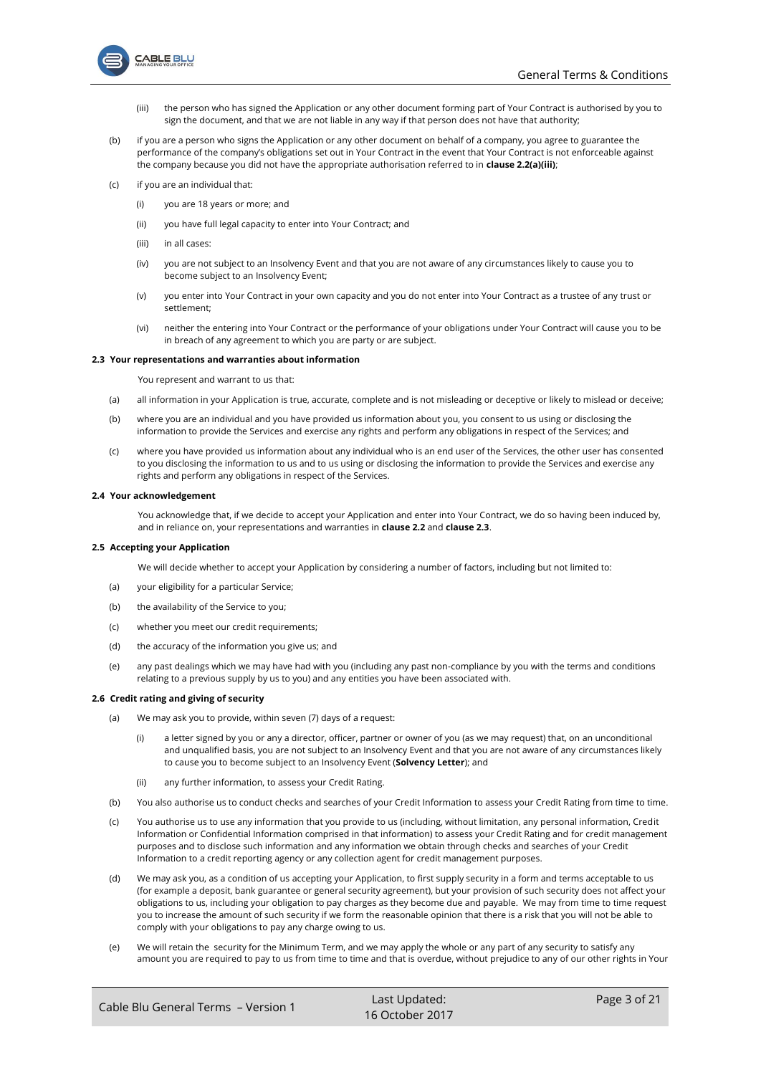

- (iii) the person who has signed the Application or any other document forming part of Your Contract is authorised by you to sign the document, and that we are not liable in any way if that person does not have that authority;
- <span id="page-2-0"></span>(b) if you are a person who signs the Application or any other document on behalf of a company, you agree to guarantee the performance of the company's obligations set out in Your Contract in the event that Your Contract is not enforceable against the company because you did not have the appropriate authorisation referred to in **claus[e 2.2\(a\)\(iii\)](#page-2-0)**;
- (c) if you are an individual that:
	- (i) you are 18 years or more; and
	- (ii) you have full legal capacity to enter into Your Contract; and
	- (iii) in all cases:
	- (iv) you are not subject to an Insolvency Event and that you are not aware of any circumstances likely to cause you to become subject to an Insolvency Event;
	- (v) you enter into Your Contract in your own capacity and you do not enter into Your Contract as a trustee of any trust or settlement;
	- (vi) neither the entering into Your Contract or the performance of your obligations under Your Contract will cause you to be in breach of any agreement to which you are party or are subject.

### <span id="page-2-1"></span>**2.3 Your representations and warranties about information**

You represent and warrant to us that:

- <span id="page-2-3"></span>(a) all information in your Application is true, accurate, complete and is not misleading or deceptive or likely to mislead or deceive;
- (b) where you are an individual and you have provided us information about you, you consent to us using or disclosing the information to provide the Services and exercise any rights and perform any obligations in respect of the Services; and
- (c) where you have provided us information about any individual who is an end user of the Services, the other user has consented to you disclosing the information to us and to us using or disclosing the information to provide the Services and exercise any rights and perform any obligations in respect of the Services.

## **2.4 Your acknowledgement**

You acknowledge that, if we decide to accept your Application and enter into Your Contract, we do so having been induced by, and in reliance on, your representations and warranties in **clause [2.2](#page-1-2)** and **clause [2.3](#page-2-1)**.

#### **2.5 Accepting your Application**

We will decide whether to accept your Application by considering a number of factors, including but not limited to:

- (a) your eligibility for a particular Service;
- (b) the availability of the Service to you;
- (c) whether you meet our credit requirements;
- (d) the accuracy of the information you give us; and
- (e) any past dealings which we may have had with you (including any past non-compliance by you with the terms and conditions relating to a previous supply by us to you) and any entities you have been associated with.

### <span id="page-2-4"></span><span id="page-2-2"></span>**2.6 Credit rating and giving of security**

- (a) We may ask you to provide, within seven (7) days of a request:
	- (i) a letter signed by you or any a director, officer, partner or owner of you (as we may request) that, on an unconditional and unqualified basis, you are not subject to an Insolvency Event and that you are not aware of any circumstances likely to cause you to become subject to an Insolvency Event (**Solvency Letter**); and
	- (ii) any further information, to assess your Credit Rating.
- (b) You also authorise us to conduct checks and searches of your Credit Information to assess your Credit Rating from time to time.
- (c) You authorise us to use any information that you provide to us (including, without limitation, any personal information, Credit Information or Confidential Information comprised in that information) to assess your Credit Rating and for credit management purposes and to disclose such information and any information we obtain through checks and searches of your Credit Information to a credit reporting agency or any collection agent for credit management purposes.
- (d) We may ask you, as a condition of us accepting your Application, to first supply security in a form and terms acceptable to us (for example a deposit, bank guarantee or general security agreement), but your provision of such security does not affect your obligations to us, including your obligation to pay charges as they become due and payable. We may from time to time request you to increase the amount of such security if we form the reasonable opinion that there is a risk that you will not be able to comply with your obligations to pay any charge owing to us.
- (e) We will retain the security for the Minimum Term, and we may apply the whole or any part of any security to satisfy any amount you are required to pay to us from time to time and that is overdue, without prejudice to any of our other rights in Your

| Cable Blu General Terms - Version 1 | Last Updated:     | Page 3 of 21 |
|-------------------------------------|-------------------|--------------|
|                                     | $16$ October 2017 |              |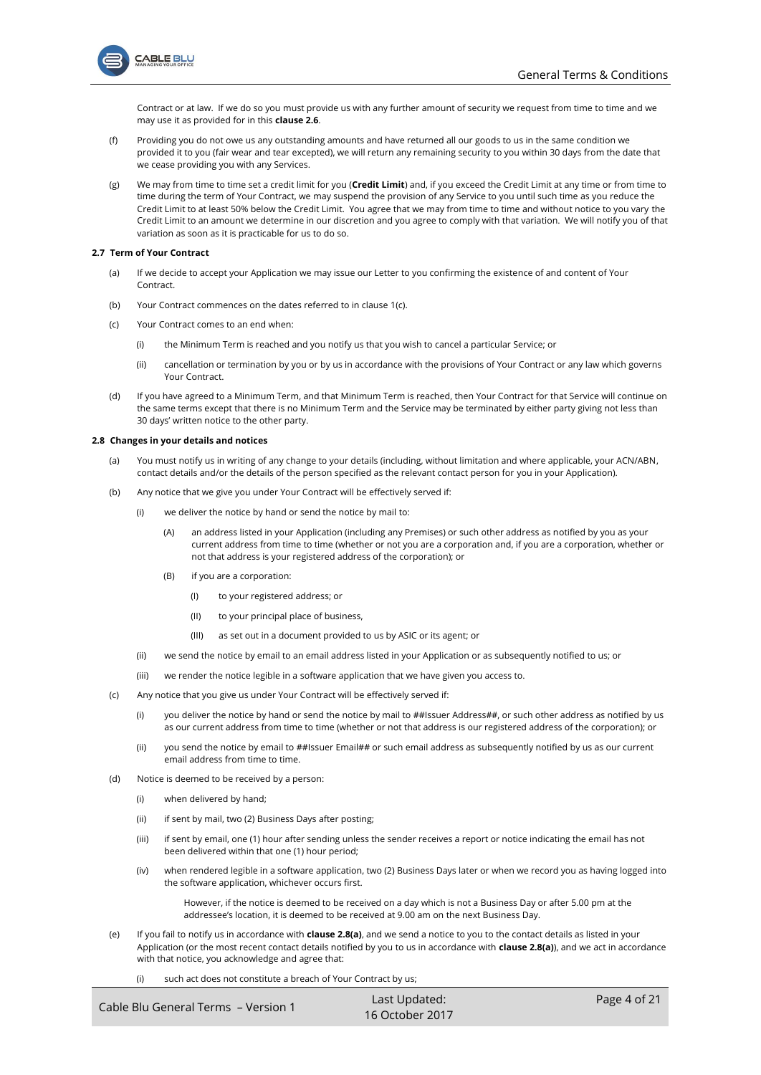

Contract or at law. If we do so you must provide us with any further amount of security we request from time to time and we may use it as provided for in this **claus[e 2.6](#page-2-2)**.

- <span id="page-3-0"></span>(f) Providing you do not owe us any outstanding amounts and have returned all our goods to us in the same condition we provided it to you (fair wear and tear excepted), we will return any remaining security to you within 30 days from the date that we cease providing you with any Services.
- (g) We may from time to time set a credit limit for you (**Credit Limit**) and, if you exceed the Credit Limit at any time or from time to time during the term of Your Contract, we may suspend the provision of any Service to you until such time as you reduce the Credit Limit to at least 50% below the Credit Limit. You agree that we may from time to time and without notice to you vary the Credit Limit to an amount we determine in our discretion and you agree to comply with that variation. We will notify you of that variation as soon as it is practicable for us to do so.

### **2.7 Term of Your Contract**

- (a) If we decide to accept your Application we may issue our Letter to you confirming the existence of and content of Your **Contract.**
- (b) Your Contract commences on the dates referred to in clause [1\(c\).](#page-0-3)
- (c) Your Contract comes to an end when:
	- (i) the Minimum Term is reached and you notify us that you wish to cancel a particular Service; or
	- (ii) cancellation or termination by you or by us in accordance with the provisions of Your Contract or any law which governs Your Contract.
- (d) If you have agreed to a Minimum Term, and that Minimum Term is reached, then Your Contract for that Service will continue on the same terms except that there is no Minimum Term and the Service may be terminated by either party giving not less than 30 days' written notice to the other party.

### **2.8 Changes in your details and notices**

- (a) You must notify us in writing of any change to your details (including, without limitation and where applicable, your ACN/ABN, contact details and/or the details of the person specified as the relevant contact person for you in your Application).
- (b) Any notice that we give you under Your Contract will be effectively served if:
	- (i) we deliver the notice by hand or send the notice by mail to:
		- (A) an address listed in your Application (including any Premises) or such other address as notified by you as your current address from time to time (whether or not you are a corporation and, if you are a corporation, whether or not that address is your registered address of the corporation); or
		- (B) if you are a corporation:
			- (I) to your registered address; or
			- (II) to your principal place of business,
			- (III) as set out in a document provided to us by ASIC or its agent; or
	- (ii) we send the notice by email to an email address listed in your Application or as subsequently notified to us; or
	- (iii) we render the notice legible in a software application that we have given you access to.
- (c) Any notice that you give us under Your Contract will be effectively served if:
	- (i) you deliver the notice by hand or send the notice by mail to ##Issuer Address##, or such other address as notified by us as our current address from time to time (whether or not that address is our registered address of the corporation); or
	- (ii) you send the notice by email to ##Issuer Email## or such email address as subsequently notified by us as our current email address from time to time.
- (d) Notice is deemed to be received by a person:
	- (i) when delivered by hand;
	- (ii) if sent by mail, two (2) Business Days after posting;
	- (iii) if sent by email, one (1) hour after sending unless the sender receives a report or notice indicating the email has not been delivered within that one (1) hour period;
	- (iv) when rendered legible in a software application, two (2) Business Days later or when we record you as having logged into the software application, whichever occurs first.

However, if the notice is deemed to be received on a day which is not a Business Day or after 5.00 pm at the addressee's location, it is deemed to be received at 9.00 am on the next Business Day.

- (e) If you fail to notify us in accordance with **clause 2.8(a)**, and we send a notice to you to the contact details as listed in your Application (or the most recent contact details notified by you to us in accordance with **clause 2.8(a)**), and we act in accordance with that notice, you acknowledge and agree that:
	- (i) such act does not constitute a breach of Your Contract by us;

| Cable Blu General Terms - Version 1 | Last Updated:   | Page 4 of 21 |
|-------------------------------------|-----------------|--------------|
|                                     | 16 October 2017 |              |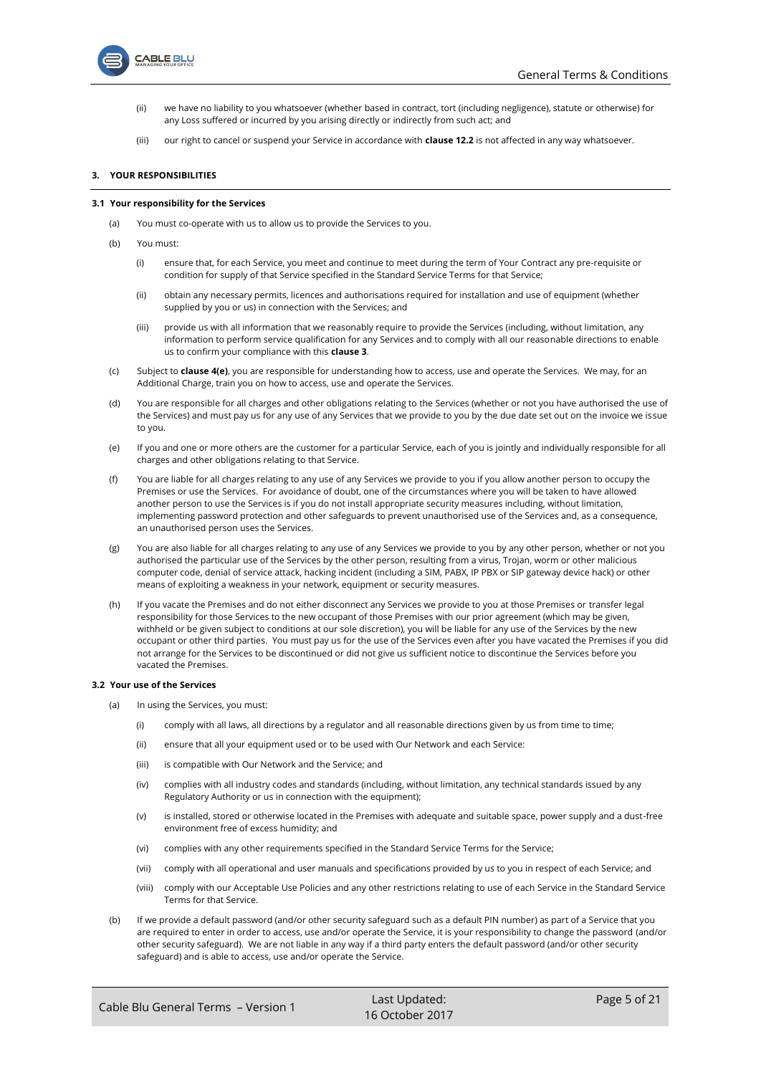

- (ii) we have no liability to you whatsoever (whether based in contract, tort (including negligence), statute or otherwise) for any Loss suffered or incurred by you arising directly or indirectly from such act; and
- (iii) our right to cancel or suspend your Service in accordance with **claus[e 12.2](#page-13-0)** is not affected in any way whatsoever.

## <span id="page-4-0"></span>**3. YOUR RESPONSIBILITIES**

#### **3.1 Your responsibility for the Services**

- (a) You must co-operate with us to allow us to provide the Services to you.
- (b) You must:
	- (i) ensure that, for each Service, you meet and continue to meet during the term of Your Contract any pre-requisite or condition for supply of that Service specified in the Standard Service Terms for that Service;
	- (ii) obtain any necessary permits, licences and authorisations required for installation and use of equipment (whether supplied by you or us) in connection with the Services; and
	- (iii) provide us with all information that we reasonably require to provide the Services (including, without limitation, any information to perform service qualification for any Services and to comply with all our reasonable directions to enable us to confirm your compliance with this **clause [3](#page-4-0)**.
- (c) Subject to **claus[e 4\(e\)](#page-6-0)**, you are responsible for understanding how to access, use and operate the Services. We may, for an Additional Charge, train you on how to access, use and operate the Services.
- (d) You are responsible for all charges and other obligations relating to the Services (whether or not you have authorised the use of the Services) and must pay us for any use of any Services that we provide to you by the due date set out on the invoice we issue to you.
- (e) If you and one or more others are the customer for a particular Service, each of you is jointly and individually responsible for all charges and other obligations relating to that Service.
- (f) You are liable for all charges relating to any use of any Services we provide to you if you allow another person to occupy the Premises or use the Services. For avoidance of doubt, one of the circumstances where you will be taken to have allowed another person to use the Services is if you do not install appropriate security measures including, without limitation, implementing password protection and other safeguards to prevent unauthorised use of the Services and, as a consequence, an unauthorised person uses the Services.
- (g) You are also liable for all charges relating to any use of any Services we provide to you by any other person, whether or not you authorised the particular use of the Services by the other person, resulting from a virus, Trojan, worm or other malicious computer code, denial of service attack, hacking incident (including a SIM, PABX, IP PBX or SIP gateway device hack) or other means of exploiting a weakness in your network, equipment or security measures.
- (h) If you vacate the Premises and do not either disconnect any Services we provide to you at those Premises or transfer legal responsibility for those Services to the new occupant of those Premises with our prior agreement (which may be given, withheld or be given subject to conditions at our sole discretion), you will be liable for any use of the Services by the new occupant or other third parties. You must pay us for the use of the Services even after you have vacated the Premises if you did not arrange for the Services to be discontinued or did not give us sufficient notice to discontinue the Services before you vacated the Premises.

## <span id="page-4-1"></span>**3.2 Your use of the Services**

- (a) In using the Services, you must:
	- (i) comply with all laws, all directions by a regulator and all reasonable directions given by us from time to time;
	- (ii) ensure that all your equipment used or to be used with Our Network and each Service:
	- (iii) is compatible with Our Network and the Service; and
	- (iv) complies with all industry codes and standards (including, without limitation, any technical standards issued by any Regulatory Authority or us in connection with the equipment);
	- (v) is installed, stored or otherwise located in the Premises with adequate and suitable space, power supply and a dust-free environment free of excess humidity; and
	- (vi) complies with any other requirements specified in the Standard Service Terms for the Service;
	- (vii) comply with all operational and user manuals and specifications provided by us to you in respect of each Service; and
	- (viii) comply with our Acceptable Use Policies and any other restrictions relating to use of each Service in the Standard Service Terms for that Service.
- (b) If we provide a default password (and/or other security safeguard such as a default PIN number) as part of a Service that you are required to enter in order to access, use and/or operate the Service, it is your responsibility to change the password (and/or other security safeguard). We are not liable in any way if a third party enters the default password (and/or other security safeguard) and is able to access, use and/or operate the Service.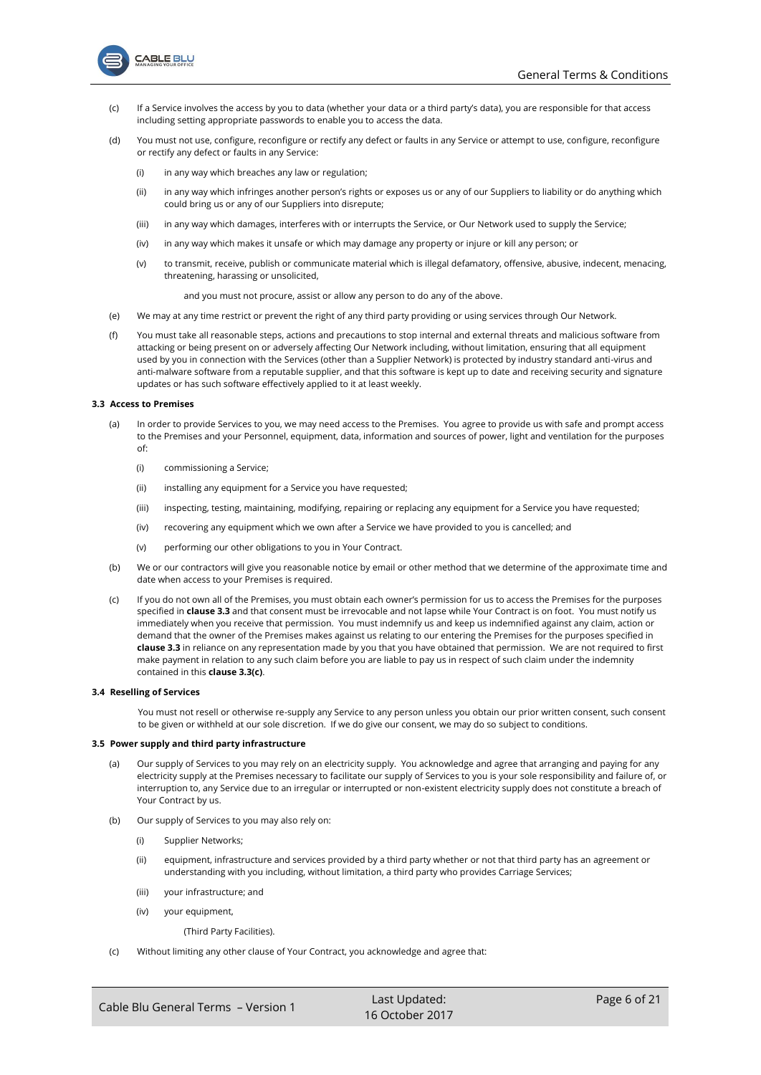

- (c) If a Service involves the access by you to data (whether your data or a third party's data), you are responsible for that access including setting appropriate passwords to enable you to access the data.
- (d) You must not use, configure, reconfigure or rectify any defect or faults in any Service or attempt to use, configure, reconfigure or rectify any defect or faults in any Service:
	- $(i)$  in any way which breaches any law or regulation:
	- (ii) in any way which infringes another person's rights or exposes us or any of our Suppliers to liability or do anything which could bring us or any of our Suppliers into disrepute;
	- (iii) in any way which damages, interferes with or interrupts the Service, or Our Network used to supply the Service;
	- (iv) in any way which makes it unsafe or which may damage any property or injure or kill any person; or
	- (v) to transmit, receive, publish or communicate material which is illegal defamatory, offensive, abusive, indecent, menacing, threatening, harassing or unsolicited,

and you must not procure, assist or allow any person to do any of the above.

- (e) We may at any time restrict or prevent the right of any third party providing or using services through Our Network.
- (f) You must take all reasonable steps, actions and precautions to stop internal and external threats and malicious software from attacking or being present on or adversely affecting Our Network including, without limitation, ensuring that all equipment used by you in connection with the Services (other than a Supplier Network) is protected by industry standard anti-virus and anti-malware software from a reputable supplier, and that this software is kept up to date and receiving security and signature updates or has such software effectively applied to it at least weekly.

## **3.3 Access to Premises**

- (a) In order to provide Services to you, we may need access to the Premises. You agree to provide us with safe and prompt access to the Premises and your Personnel, equipment, data, information and sources of power, light and ventilation for the purposes of:
	- (i) commissioning a Service;
	- (ii) installing any equipment for a Service you have requested;
	- (iii) inspecting, testing, maintaining, modifying, repairing or replacing any equipment for a Service you have requested;
	- (iv) recovering any equipment which we own after a Service we have provided to you is cancelled; and
	- (v) performing our other obligations to you in Your Contract.
- (b) We or our contractors will give you reasonable notice by email or other method that we determine of the approximate time and date when access to your Premises is required.
- (c) If you do not own all of the Premises, you must obtain each owner's permission for us to access the Premises for the purposes specified in **clause 3.3** and that consent must be irrevocable and not lapse while Your Contract is on foot. You must notify us immediately when you receive that permission. You must indemnify us and keep us indemnified against any claim, action or demand that the owner of the Premises makes against us relating to our entering the Premises for the purposes specified in **clause 3.3** in reliance on any representation made by you that you have obtained that permission. We are not required to first make payment in relation to any such claim before you are liable to pay us in respect of such claim under the indemnity contained in this **clause 3.3(c)**.

## **3.4 Reselling of Services**

You must not resell or otherwise re-supply any Service to any person unless you obtain our prior written consent, such consent to be given or withheld at our sole discretion. If we do give our consent, we may do so subject to conditions.

#### **3.5 Power supply and third party infrastructure**

- (a) Our supply of Services to you may rely on an electricity supply. You acknowledge and agree that arranging and paying for any electricity supply at the Premises necessary to facilitate our supply of Services to you is your sole responsibility and failure of, or interruption to, any Service due to an irregular or interrupted or non-existent electricity supply does not constitute a breach of Your Contract by us.
- <span id="page-5-1"></span>(b) Our supply of Services to you may also rely on:
	- (i) Supplier Networks;
	- (ii) equipment, infrastructure and services provided by a third party whether or not that third party has an agreement or understanding with you including, without limitation, a third party who provides Carriage Services;
	- (iii) your infrastructure; and
	- (iv) your equipment,

(Third Party Facilities).

<span id="page-5-0"></span>(c) Without limiting any other clause of Your Contract, you acknowledge and agree that: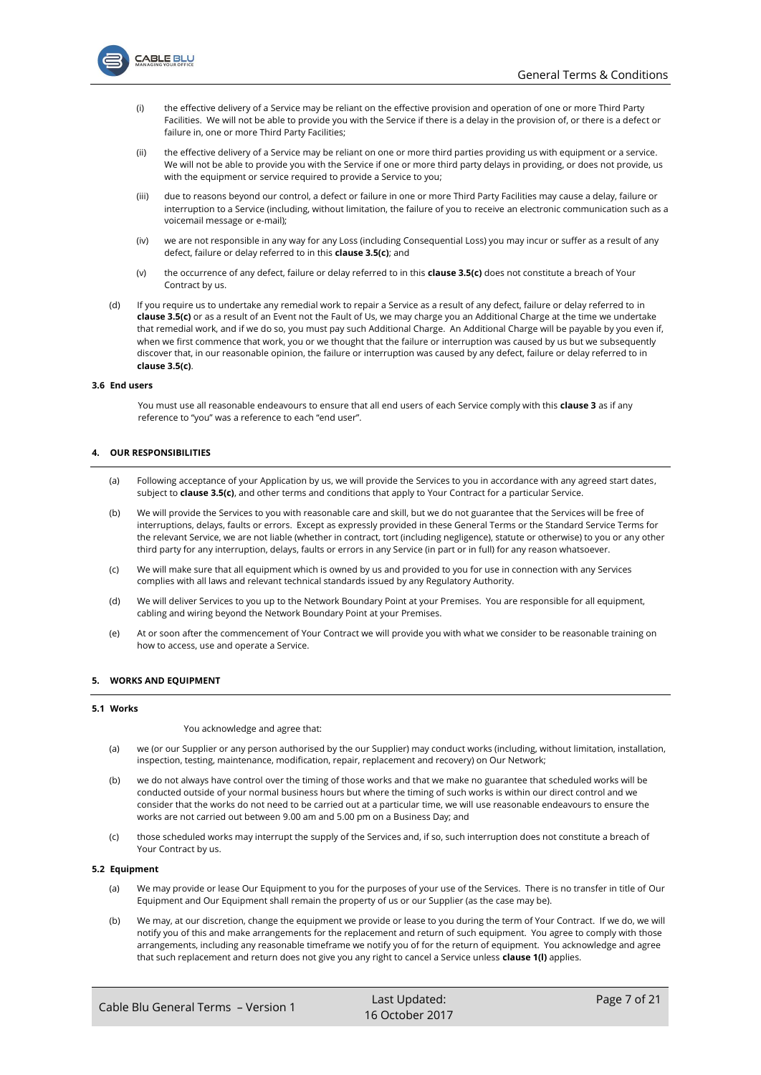

- (i) the effective delivery of a Service may be reliant on the effective provision and operation of one or more Third Party Facilities. We will not be able to provide you with the Service if there is a delay in the provision of, or there is a defect or failure in, one or more Third Party Facilities;
- (ii) the effective delivery of a Service may be reliant on one or more third parties providing us with equipment or a service. We will not be able to provide you with the Service if one or more third party delays in providing, or does not provide, us with the equipment or service required to provide a Service to you;
- (iii) due to reasons beyond our control, a defect or failure in one or more Third Party Facilities may cause a delay, failure or interruption to a Service (including, without limitation, the failure of you to receive an electronic communication such as a voicemail message or e-mail);
- <span id="page-6-2"></span>(iv) we are not responsible in any way for any Loss (including Consequential Loss) you may incur or suffer as a result of any defect, failure or delay referred to in this **claus[e 3.5\(c\)](#page-5-0)**; and
- (v) the occurrence of any defect, failure or delay referred to in this **claus[e 3.5\(c\)](#page-5-0)** does not constitute a breach of Your Contract by us.
- (d) If you require us to undertake any remedial work to repair a Service as a result of any defect, failure or delay referred to in **claus[e 3.5\(c\)](#page-5-0)** or as a result of an Event not the Fault of Us, we may charge you an Additional Charge at the time we undertake that remedial work, and if we do so, you must pay such Additional Charge. An Additional Charge will be payable by you even if, when we first commence that work, you or we thought that the failure or interruption was caused by us but we subsequently discover that, in our reasonable opinion, the failure or interruption was caused by any defect, failure or delay referred to in **claus[e 3.5\(c\)](#page-5-0)**.

#### **3.6 End users**

You must use all reasonable endeavours to ensure that all end users of each Service comply with this **clause [3](#page-4-0)** as if any reference to "you" was a reference to each "end user".

## **4. OUR RESPONSIBILITIES**

- (a) Following acceptance of your Application by us, we will provide the Services to you in accordance with any agreed start dates, subject to **claus[e 3.5\(c\)](#page-5-0)**, and other terms and conditions that apply to Your Contract for a particular Service.
- (b) We will provide the Services to you with reasonable care and skill, but we do not guarantee that the Services will be free of interruptions, delays, faults or errors. Except as expressly provided in these General Terms or the Standard Service Terms for the relevant Service, we are not liable (whether in contract, tort (including negligence), statute or otherwise) to you or any other third party for any interruption, delays, faults or errors in any Service (in part or in full) for any reason whatsoever.
- (c) We will make sure that all equipment which is owned by us and provided to you for use in connection with any Services complies with all laws and relevant technical standards issued by any Regulatory Authority.
- (d) We will deliver Services to you up to the Network Boundary Point at your Premises. You are responsible for all equipment, cabling and wiring beyond the Network Boundary Point at your Premises.
- <span id="page-6-0"></span>(e) At or soon after the commencement of Your Contract we will provide you with what we consider to be reasonable training on how to access, use and operate a Service.

## **5. WORKS AND EQUIPMENT**

### <span id="page-6-1"></span>**5.1 Works**

You acknowledge and agree that:

- (a) we (or our Supplier or any person authorised by the our Supplier) may conduct works (including, without limitation, installation, inspection, testing, maintenance, modification, repair, replacement and recovery) on Our Network;
- (b) we do not always have control over the timing of those works and that we make no guarantee that scheduled works will be conducted outside of your normal business hours but where the timing of such works is within our direct control and we consider that the works do not need to be carried out at a particular time, we will use reasonable endeavours to ensure the works are not carried out between 9.00 am and 5.00 pm on a Business Day; and
- (c) those scheduled works may interrupt the supply of the Services and, if so, such interruption does not constitute a breach of Your Contract by us.

#### **5.2 Equipment**

- (a) We may provide or lease Our Equipment to you for the purposes of your use of the Services. There is no transfer in title of Our Equipment and Our Equipment shall remain the property of us or our Supplier (as the case may be).
- (b) We may, at our discretion, change the equipment we provide or lease to you during the term of Your Contract. If we do, we will notify you of this and make arrangements for the replacement and return of such equipment. You agree to comply with those arrangements, including any reasonable timeframe we notify you of for the return of equipment. You acknowledge and agree that such replacement and return does not give you any right to cancel a Service unless **claus[e 1\(l\)](#page-1-3)** applies.

| Cable Blu General Terms - Version 1 | Last Updated:   | Page 7 of 21 |
|-------------------------------------|-----------------|--------------|
|                                     | 16 October 2017 |              |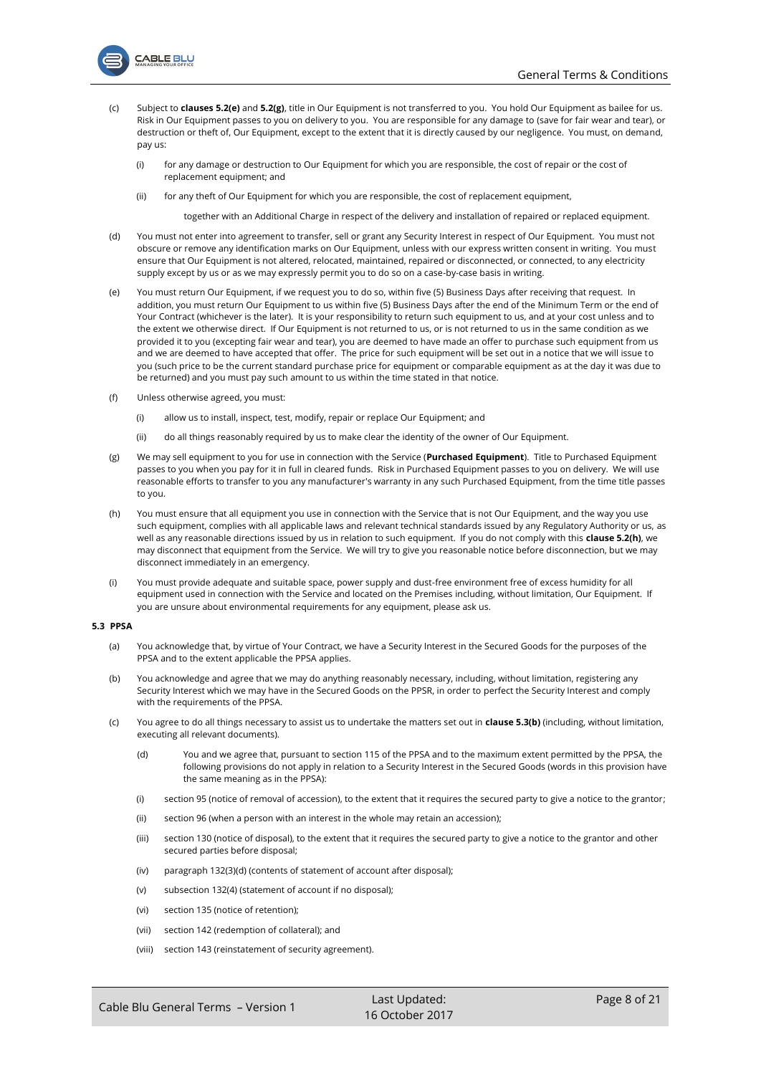

- **ABLE BLU** 
	- (c) Subject to **clause[s 5.2\(e\)](#page-7-0)** and **[5.2\(g\)](#page-7-1)**, title in Our Equipment is not transferred to you. You hold Our Equipment as bailee for us. Risk in Our Equipment passes to you on delivery to you. You are responsible for any damage to (save for fair wear and tear), or destruction or theft of, Our Equipment, except to the extent that it is directly caused by our negligence. You must, on demand, pay us:
		- (i) for any damage or destruction to Our Equipment for which you are responsible, the cost of repair or the cost of replacement equipment; and
		- (ii) for any theft of Our Equipment for which you are responsible, the cost of replacement equipment,

together with an Additional Charge in respect of the delivery and installation of repaired or replaced equipment.

- (d) You must not enter into agreement to transfer, sell or grant any Security Interest in respect of Our Equipment. You must not obscure or remove any identification marks on Our Equipment, unless with our express written consent in writing. You must ensure that Our Equipment is not altered, relocated, maintained, repaired or disconnected, or connected, to any electricity supply except by us or as we may expressly permit you to do so on a case-by-case basis in writing.
- <span id="page-7-0"></span>(e) You must return Our Equipment, if we request you to do so, within five (5) Business Days after receiving that request. In addition, you must return Our Equipment to us within five (5) Business Days after the end of the Minimum Term or the end of Your Contract (whichever is the later). It is your responsibility to return such equipment to us, and at your cost unless and to the extent we otherwise direct. If Our Equipment is not returned to us, or is not returned to us in the same condition as we provided it to you (excepting fair wear and tear), you are deemed to have made an offer to purchase such equipment from us and we are deemed to have accepted that offer. The price for such equipment will be set out in a notice that we will issue to you (such price to be the current standard purchase price for equipment or comparable equipment as at the day it was due to be returned) and you must pay such amount to us within the time stated in that notice.
- (f) Unless otherwise agreed, you must:
	- (i) allow us to install, inspect, test, modify, repair or replace Our Equipment; and
	- (ii) do all things reasonably required by us to make clear the identity of the owner of Our Equipment.
- <span id="page-7-1"></span>(g) We may sell equipment to you for use in connection with the Service (**Purchased Equipment**). Title to Purchased Equipment passes to you when you pay for it in full in cleared funds. Risk in Purchased Equipment passes to you on delivery. We will use reasonable efforts to transfer to you any manufacturer's warranty in any such Purchased Equipment, from the time title passes to you.
- (h) You must ensure that all equipment you use in connection with the Service that is not Our Equipment, and the way you use such equipment, complies with all applicable laws and relevant technical standards issued by any Regulatory Authority or us, as well as any reasonable directions issued by us in relation to such equipment. If you do not comply with this **clause 5.2(h)**, we may disconnect that equipment from the Service. We will try to give you reasonable notice before disconnection, but we may disconnect immediately in an emergency.
- (i) You must provide adequate and suitable space, power supply and dust-free environment free of excess humidity for all equipment used in connection with the Service and located on the Premises including, without limitation, Our Equipment. If you are unsure about environmental requirements for any equipment, please ask us.

## **5.3 PPSA**

- (a) You acknowledge that, by virtue of Your Contract, we have a Security Interest in the Secured Goods for the purposes of the PPSA and to the extent applicable the PPSA applies.
- <span id="page-7-2"></span>(b) You acknowledge and agree that we may do anything reasonably necessary, including, without limitation, registering any Security Interest which we may have in the Secured Goods on the PPSR, in order to perfect the Security Interest and comply with the requirements of the PPSA.
- (c) You agree to do all things necessary to assist us to undertake the matters set out in **claus[e 5.3\(b\)](#page-7-2)** (including, without limitation, executing all relevant documents).
	- (d) You and we agree that, pursuant to section 115 of the PPSA and to the maximum extent permitted by the PPSA, the following provisions do not apply in relation to a Security Interest in the Secured Goods (words in this provision have the same meaning as in the PPSA):
	- (i) section 95 (notice of removal of accession), to the extent that it requires the secured party to give a notice to the grantor;
	- (ii) section 96 (when a person with an interest in the whole may retain an accession);
	- (iii) section 130 (notice of disposal), to the extent that it requires the secured party to give a notice to the grantor and other secured parties before disposal;
	- (iv) paragraph 132(3)(d) (contents of statement of account after disposal);
	- (v) subsection 132(4) (statement of account if no disposal);
	- (vi) section 135 (notice of retention);
	- (vii) section 142 (redemption of collateral); and
	- (viii) section 143 (reinstatement of security agreement).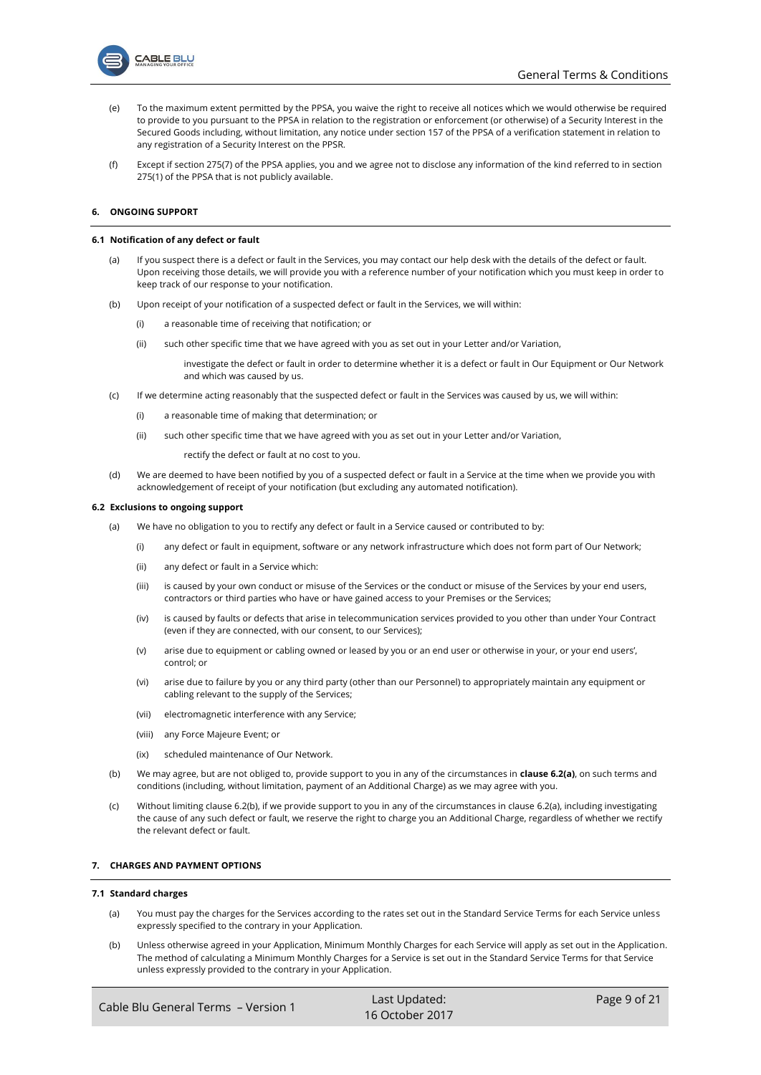

- (e) To the maximum extent permitted by the PPSA, you waive the right to receive all notices which we would otherwise be required to provide to you pursuant to the PPSA in relation to the registration or enforcement (or otherwise) of a Security Interest in the Secured Goods including, without limitation, any notice under section 157 of the PPSA of a verification statement in relation to any registration of a Security Interest on the PPSR.
- (f) Except if section 275(7) of the PPSA applies, you and we agree not to disclose any information of the kind referred to in section 275(1) of the PPSA that is not publicly available.

## **6. ONGOING SUPPORT**

#### **6.1 Notification of any defect or fault**

- (a) If you suspect there is a defect or fault in the Services, you may contact our help desk with the details of the defect or fault. Upon receiving those details, we will provide you with a reference number of your notification which you must keep in order to keep track of our response to your notification.
- (b) Upon receipt of your notification of a suspected defect or fault in the Services, we will within:
	- (i) a reasonable time of receiving that notification; or
	- (ii) such other specific time that we have agreed with you as set out in your Letter and/or Variation,

investigate the defect or fault in order to determine whether it is a defect or fault in Our Equipment or Our Network and which was caused by us.

- (c) If we determine acting reasonably that the suspected defect or fault in the Services was caused by us, we will within:
	- (i) a reasonable time of making that determination; or
	- (ii) such other specific time that we have agreed with you as set out in your Letter and/or Variation,

rectify the defect or fault at no cost to you.

(d) We are deemed to have been notified by you of a suspected defect or fault in a Service at the time when we provide you with acknowledgement of receipt of your notification (but excluding any automated notification).

#### <span id="page-8-2"></span><span id="page-8-0"></span>**6.2 Exclusions to ongoing support**

- (a) We have no obligation to you to rectify any defect or fault in a Service caused or contributed to by:
	- (i) any defect or fault in equipment, software or any network infrastructure which does not form part of Our Network;
	- (ii) any defect or fault in a Service which:
	- (iii) is caused by your own conduct or misuse of the Services or the conduct or misuse of the Services by your end users, contractors or third parties who have or have gained access to your Premises or the Services;
	- (iv) is caused by faults or defects that arise in telecommunication services provided to you other than under Your Contract (even if they are connected, with our consent, to our Services);
	- (v) arise due to equipment or cabling owned or leased by you or an end user or otherwise in your, or your end users', control; or
	- (vi) arise due to failure by you or any third party (other than our Personnel) to appropriately maintain any equipment or cabling relevant to the supply of the Services;
	- (vii) electromagnetic interference with any Service;
	- (viii) any Force Majeure Event; or
	- (ix) scheduled maintenance of Our Network.
- <span id="page-8-1"></span>(b) We may agree, but are not obliged to, provide support to you in any of the circumstances in **clause [6.2\(a\)](#page-8-0)**, on such terms and conditions (including, without limitation, payment of an Additional Charge) as we may agree with you.
- (c) Without limiting claus[e 6.2\(b\),](#page-8-1) if we provide support to you in any of the circumstances in claus[e 6.2\(](#page-8-2)[a\),](#page-8-0) including investigating the cause of any such defect or fault, we reserve the right to charge you an Additional Charge, regardless of whether we rectify the relevant defect or fault.

## **7. CHARGES AND PAYMENT OPTIONS**

#### **7.1 Standard charges**

- (a) You must pay the charges for the Services according to the rates set out in the Standard Service Terms for each Service unless expressly specified to the contrary in your Application.
- (b) Unless otherwise agreed in your Application, Minimum Monthly Charges for each Service will apply as set out in the Application. The method of calculating a Minimum Monthly Charges for a Service is set out in the Standard Service Terms for that Service unless expressly provided to the contrary in your Application.

| Cable Blu General Terms - Version 1 | Last Updated:   | Page 9 of 21 |
|-------------------------------------|-----------------|--------------|
|                                     | 16 October 2017 |              |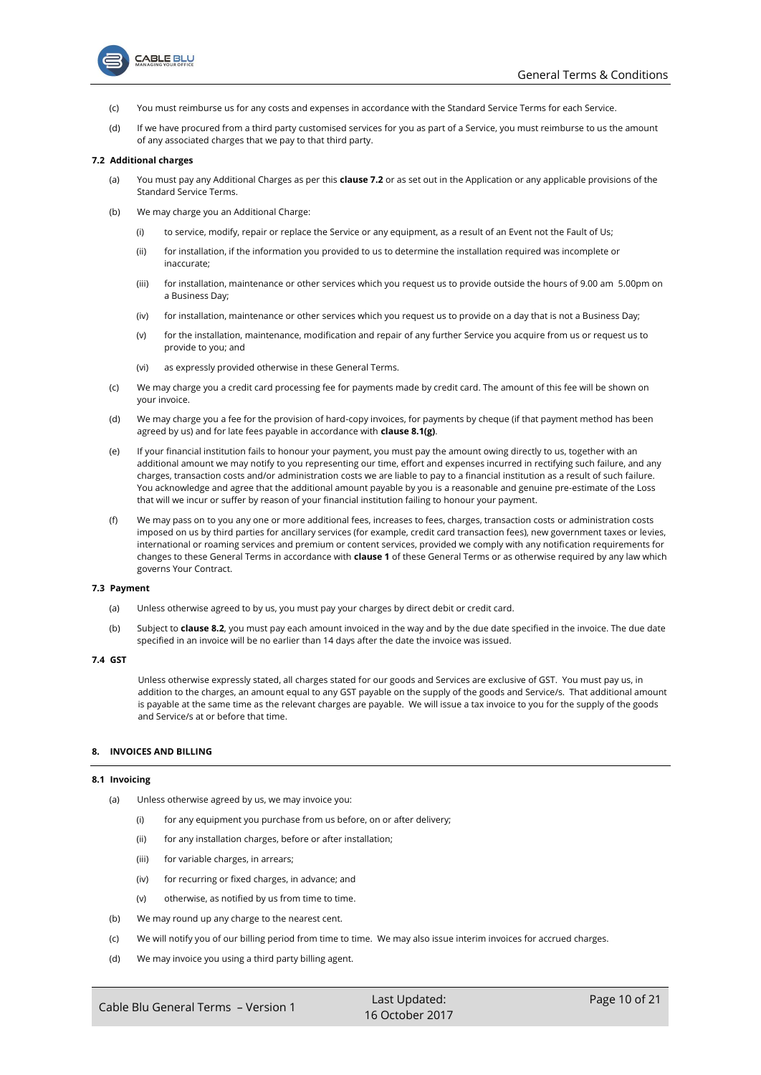



- (c) You must reimburse us for any costs and expenses in accordance with the Standard Service Terms for each Service.
- (d) If we have procured from a third party customised services for you as part of a Service, you must reimburse to us the amount of any associated charges that we pay to that third party.

### <span id="page-9-0"></span>**7.2 Additional charges**

- (a) You must pay any Additional Charges as per this **claus[e 7.2](#page-9-0)** or as set out in the Application or any applicable provisions of the Standard Service Terms.
- (b) We may charge you an Additional Charge:
	- (i) to service, modify, repair or replace the Service or any equipment, as a result of an Event not the Fault of Us;
	- (ii) for installation, if the information you provided to us to determine the installation required was incomplete or inaccurate;
	- (iii) for installation, maintenance or other services which you request us to provide outside the hours of 9.00 am 5.00pm on a Business Day;
	- (iv) for installation, maintenance or other services which you request us to provide on a day that is not a Business Day;
	- (v) for the installation, maintenance, modification and repair of any further Service you acquire from us or request us to provide to you; and
	- (vi) as expressly provided otherwise in these General Terms.
- (c) We may charge you a credit card processing fee for payments made by credit card. The amount of this fee will be shown on your invoice.
- (d) We may charge you a fee for the provision of hard-copy invoices, for payments by cheque (if that payment method has been agreed by us) and for late fees payable in accordance with **claus[e 8.1\(g\)](#page-10-0)**.
- (e) If your financial institution fails to honour your payment, you must pay the amount owing directly to us, together with an additional amount we may notify to you representing our time, effort and expenses incurred in rectifying such failure, and any charges, transaction costs and/or administration costs we are liable to pay to a financial institution as a result of such failure. You acknowledge and agree that the additional amount payable by you is a reasonable and genuine pre-estimate of the Loss that will we incur or suffer by reason of your financial institution failing to honour your payment.
- (f) We may pass on to you any one or more additional fees, increases to fees, charges, transaction costs or administration costs imposed on us by third parties for ancillary services (for example, credit card transaction fees), new government taxes or levies, international or roaming services and premium or content services, provided we comply with any notification requirements for changes to these General Terms in accordance with **claus[e 1](#page-0-4)** of these General Terms or as otherwise required by any law which governs Your Contract.

#### <span id="page-9-2"></span>**7.3 Payment**

- (a) Unless otherwise agreed to by us, you must pay your charges by direct debit or credit card.
- (b) Subject to **claus[e 8.2](#page-10-1)**, you must pay each amount invoiced in the way and by the due date specified in the invoice. The due date specified in an invoice will be no earlier than 14 days after the date the invoice was issued.

## <span id="page-9-3"></span>**7.4 GST**

Unless otherwise expressly stated, all charges stated for our goods and Services are exclusive of GST. You must pay us, in addition to the charges, an amount equal to any GST payable on the supply of the goods and Service/s. That additional amount is payable at the same time as the relevant charges are payable. We will issue a tax invoice to you for the supply of the goods and Service/s at or before that time.

## **8. INVOICES AND BILLING**

#### <span id="page-9-1"></span>**8.1 Invoicing**

- (a) Unless otherwise agreed by us, we may invoice you:
	- (i) for any equipment you purchase from us before, on or after delivery;
	- (ii) for any installation charges, before or after installation;
	- (iii) for variable charges, in arrears;
	- (iv) for recurring or fixed charges, in advance; and
	- (v) otherwise, as notified by us from time to time.
- (b) We may round up any charge to the nearest cent.
- (c) We will notify you of our billing period from time to time. We may also issue interim invoices for accrued charges.
- (d) We may invoice you using a third party billing agent.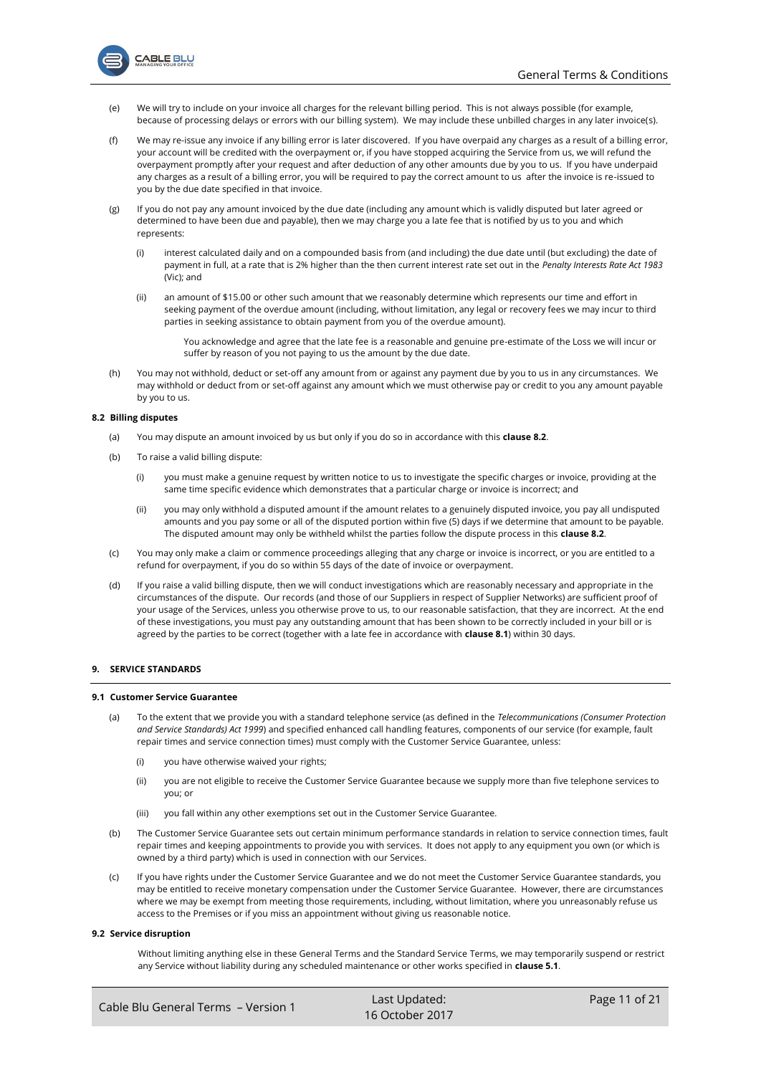

- (e) We will try to include on your invoice all charges for the relevant billing period. This is not always possible (for example, because of processing delays or errors with our billing system). We may include these unbilled charges in any later invoice(s).
- (f) We may re-issue any invoice if any billing error is later discovered. If you have overpaid any charges as a result of a billing error, your account will be credited with the overpayment or, if you have stopped acquiring the Service from us, we will refund the overpayment promptly after your request and after deduction of any other amounts due by you to us. If you have underpaid any charges as a result of a billing error, you will be required to pay the correct amount to us after the invoice is re-issued to you by the due date specified in that invoice.
- <span id="page-10-0"></span>(g) If you do not pay any amount invoiced by the due date (including any amount which is validly disputed but later agreed or determined to have been due and payable), then we may charge you a late fee that is notified by us to you and which represents:
	- (i) interest calculated daily and on a compounded basis from (and including) the due date until (but excluding) the date of payment in full, at a rate that is 2% higher than the then current interest rate set out in the *Penalty Interests Rate Act 1983*  (Vic); and
	- (ii) an amount of \$15.00 or other such amount that we reasonably determine which represents our time and effort in seeking payment of the overdue amount (including, without limitation, any legal or recovery fees we may incur to third parties in seeking assistance to obtain payment from you of the overdue amount).

You acknowledge and agree that the late fee is a reasonable and genuine pre-estimate of the Loss we will incur or suffer by reason of you not paying to us the amount by the due date.

(h) You may not withhold, deduct or set-off any amount from or against any payment due by you to us in any circumstances. We may withhold or deduct from or set-off against any amount which we must otherwise pay or credit to you any amount payable by you to us.

## <span id="page-10-1"></span>**8.2 Billing disputes**

- (a) You may dispute an amount invoiced by us but only if you do so in accordance with this **clause [8.2](#page-10-1)**.
- (b) To raise a valid billing dispute:
	- (i) you must make a genuine request by written notice to us to investigate the specific charges or invoice, providing at the same time specific evidence which demonstrates that a particular charge or invoice is incorrect; and
	- (ii) you may only withhold a disputed amount if the amount relates to a genuinely disputed invoice, you pay all undisputed amounts and you pay some or all of the disputed portion within five (5) days if we determine that amount to be payable. The disputed amount may only be withheld whilst the parties follow the dispute process in this **claus[e 8.2](#page-10-1)**.
- (c) You may only make a claim or commence proceedings alleging that any charge or invoice is incorrect, or you are entitled to a refund for overpayment, if you do so within 55 days of the date of invoice or overpayment.
- (d) If you raise a valid billing dispute, then we will conduct investigations which are reasonably necessary and appropriate in the circumstances of the dispute. Our records (and those of our Suppliers in respect of Supplier Networks) are sufficient proof of your usage of the Services, unless you otherwise prove to us, to our reasonable satisfaction, that they are incorrect. At the end of these investigations, you must pay any outstanding amount that has been shown to be correctly included in your bill or is agreed by the parties to be correct (together with a late fee in accordance with **clause [8.1](#page-9-1)**) within 30 days.

## **9. SERVICE STANDARDS**

#### **9.1 Customer Service Guarantee**

- (a) To the extent that we provide you with a standard telephone service (as defined in the *Telecommunications (Consumer Protection and Service Standards) Act 1999*) and specified enhanced call handling features, components of our service (for example, fault repair times and service connection times) must comply with the Customer Service Guarantee, unless:
	- (i) you have otherwise waived your rights;
	- (ii) you are not eligible to receive the Customer Service Guarantee because we supply more than five telephone services to you; or
	- (iii) you fall within any other exemptions set out in the Customer Service Guarantee*.*
- (b) The Customer Service Guarantee sets out certain minimum performance standards in relation to service connection times, fault repair times and keeping appointments to provide you with services. It does not apply to any equipment you own (or which is owned by a third party) which is used in connection with our Services.
- (c) If you have rights under the Customer Service Guarantee and we do not meet the Customer Service Guarantee standards, you may be entitled to receive monetary compensation under the Customer Service Guarantee. However, there are circumstances where we may be exempt from meeting those requirements, including, without limitation, where you unreasonably refuse us access to the Premises or if you miss an appointment without giving us reasonable notice.

#### **9.2 Service disruption**

Without limiting anything else in these General Terms and the Standard Service Terms, we may temporarily suspend or restrict any Service without liability during any scheduled maintenance or other works specified in **clause [5.1](#page-6-1)**.

| Cable Blu General Terms - Version 1 | Last Updated:   | Page 11 of 21 |
|-------------------------------------|-----------------|---------------|
|                                     | 16 October 2017 |               |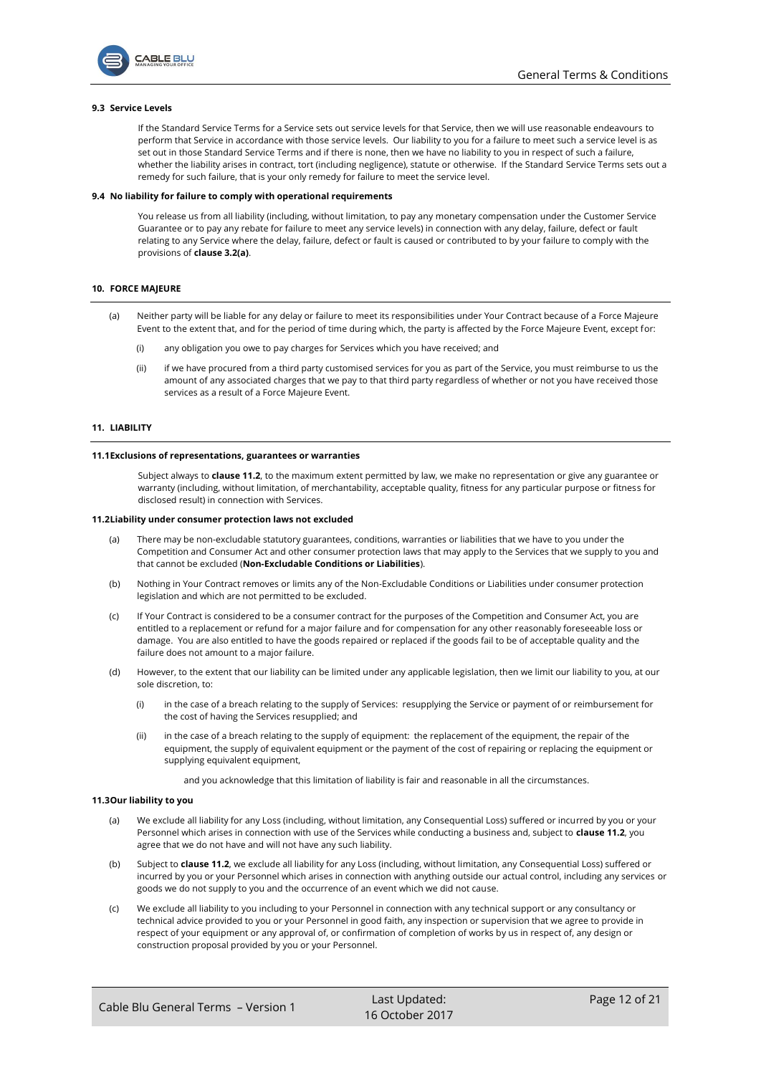

## **9.3 Service Levels**

If the Standard Service Terms for a Service sets out service levels for that Service, then we will use reasonable endeavours to perform that Service in accordance with those service levels. Our liability to you for a failure to meet such a service level is as set out in those Standard Service Terms and if there is none, then we have no liability to you in respect of such a failure, whether the liability arises in contract, tort (including negligence), statute or otherwise. If the Standard Service Terms sets out a remedy for such failure, that is your only remedy for failure to meet the service level.

#### <span id="page-11-2"></span>**9.4 No liability for failure to comply with operational requirements**

You release us from all liability (including, without limitation, to pay any monetary compensation under the Customer Service Guarantee or to pay any rebate for failure to meet any service levels) in connection with any delay, failure, defect or fault relating to any Service where the delay, failure, defect or fault is caused or contributed to by your failure to comply with the provisions of **clause [3.2\(a\)](#page-4-1)**.

## **10. FORCE MAJEURE**

- (a) Neither party will be liable for any delay or failure to meet its responsibilities under Your Contract because of a Force Majeure Event to the extent that, and for the period of time during which, the party is affected by the Force Majeure Event, except for:
	- (i) any obligation you owe to pay charges for Services which you have received; and
	- (ii) if we have procured from a third party customised services for you as part of the Service, you must reimburse to us the amount of any associated charges that we pay to that third party regardless of whether or not you have received those services as a result of a Force Majeure Event.

## <span id="page-11-3"></span>**11. LIABILITY**

#### **11.1Exclusions of representations, guarantees or warranties**

Subject always to **clause [11.2](#page-11-0)**, to the maximum extent permitted by law, we make no representation or give any guarantee or warranty (including, without limitation, of merchantability, acceptable quality, fitness for any particular purpose or fitness for disclosed result) in connection with Services.

#### <span id="page-11-4"></span><span id="page-11-0"></span>**11.2Liability under consumer protection laws not excluded**

- (a) There may be non-excludable statutory guarantees, conditions, warranties or liabilities that we have to you under the Competition and Consumer Act and other consumer protection laws that may apply to the Services that we supply to you and that cannot be excluded (**Non-Excludable Conditions or Liabilities**).
- (b) Nothing in Your Contract removes or limits any of the Non-Excludable Conditions or Liabilities under consumer protection legislation and which are not permitted to be excluded.
- (c) If Your Contract is considered to be a consumer contract for the purposes of the Competition and Consumer Act, you are entitled to a replacement or refund for a major failure and for compensation for any other reasonably foreseeable loss or damage. You are also entitled to have the goods repaired or replaced if the goods fail to be of acceptable quality and the failure does not amount to a major failure.
- (d) However, to the extent that our liability can be limited under any applicable legislation, then we limit our liability to you, at our sole discretion, to:
	- (i) in the case of a breach relating to the supply of Services: resupplying the Service or payment of or reimbursement for the cost of having the Services resupplied; and
	- (ii) in the case of a breach relating to the supply of equipment: the replacement of the equipment, the repair of the equipment, the supply of equivalent equipment or the payment of the cost of repairing or replacing the equipment or supplying equivalent equipment,
		- and you acknowledge that this limitation of liability is fair and reasonable in all the circumstances.

#### <span id="page-11-1"></span>**11.3Our liability to you**

- (a) We exclude all liability for any Loss (including, without limitation, any Consequential Loss) suffered or incurred by you or your Personnel which arises in connection with use of the Services while conducting a business and, subject to **claus[e 11.2](#page-11-0)**, you agree that we do not have and will not have any such liability.
- (b) Subject to **claus[e 11.2](#page-11-0)**, we exclude all liability for any Loss (including, without limitation, any Consequential Loss) suffered or incurred by you or your Personnel which arises in connection with anything outside our actual control, including any services or goods we do not supply to you and the occurrence of an event which we did not cause.
- (c) We exclude all liability to you including to your Personnel in connection with any technical support or any consultancy or technical advice provided to you or your Personnel in good faith, any inspection or supervision that we agree to provide in respect of your equipment or any approval of, or confirmation of completion of works by us in respect of, any design or construction proposal provided by you or your Personnel.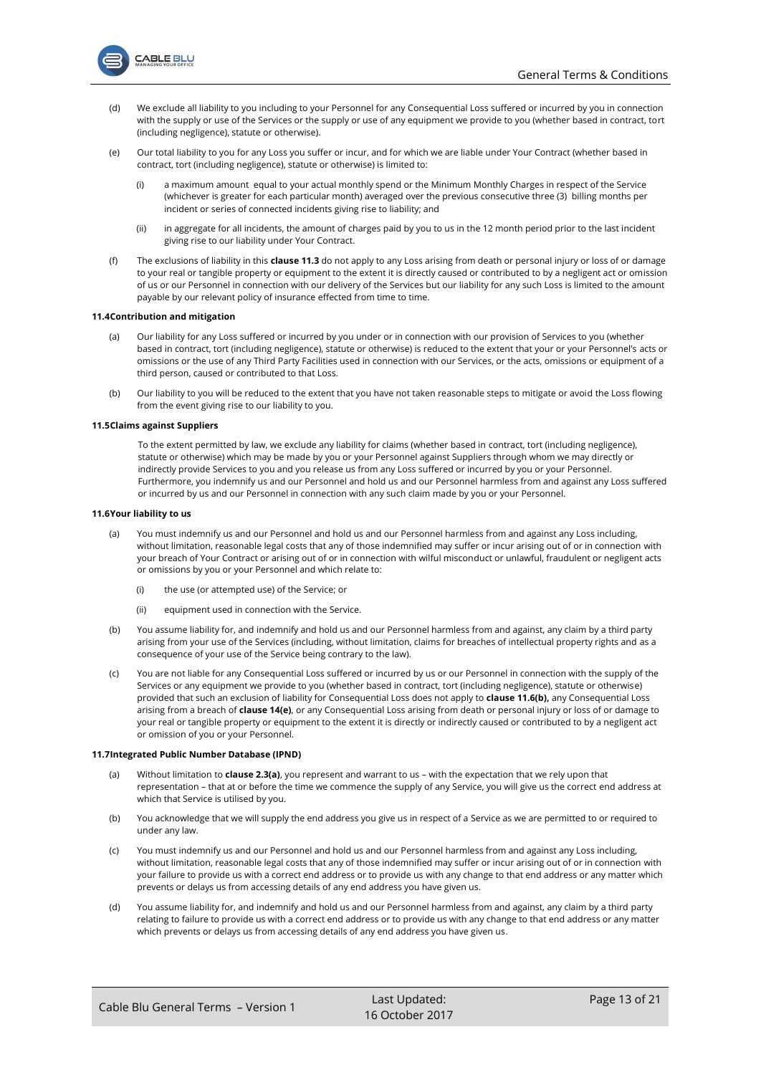

- (d) We exclude all liability to you including to your Personnel for any Consequential Loss suffered or incurred by you in connection with the supply or use of the Services or the supply or use of any equipment we provide to you (whether based in contract, tort (including negligence), statute or otherwise).
- (e) Our total liability to you for any Loss you suffer or incur, and for which we are liable under Your Contract (whether based in contract, tort (including negligence), statute or otherwise) is limited to:
	- (i) a maximum amount equal to your actual monthly spend or the Minimum Monthly Charges in respect of the Service (whichever is greater for each particular month) averaged over the previous consecutive three (3) billing months per incident or series of connected incidents giving rise to liability; and
	- (ii) in aggregate for all incidents, the amount of charges paid by you to us in the 12 month period prior to the last incident giving rise to our liability under Your Contract.
- (f) The exclusions of liability in this **clause [11.3](#page-11-1)** do not apply to any Loss arising from death or personal injury or loss of or damage to your real or tangible property or equipment to the extent it is directly caused or contributed to by a negligent act or omission of us or our Personnel in connection with our delivery of the Services but our liability for any such Loss is limited to the amount payable by our relevant policy of insurance effected from time to time.

#### **11.4Contribution and mitigation**

- Our liability for any Loss suffered or incurred by you under or in connection with our provision of Services to you (whether based in contract, tort (including negligence), statute or otherwise) is reduced to the extent that your or your Personnel's acts or omissions or the use of any Third Party Facilities used in connection with our Services, or the acts, omissions or equipment of a third person, caused or contributed to that Loss.
- (b) Our liability to you will be reduced to the extent that you have not taken reasonable steps to mitigate or avoid the Loss flowing from the event giving rise to our liability to you.

#### **11.5Claims against Suppliers**

To the extent permitted by law, we exclude any liability for claims (whether based in contract, tort (including negligence), statute or otherwise) which may be made by you or your Personnel against Suppliers through whom we may directly or indirectly provide Services to you and you release us from any Loss suffered or incurred by you or your Personnel. Furthermore, you indemnify us and our Personnel and hold us and our Personnel harmless from and against any Loss suffered or incurred by us and our Personnel in connection with any such claim made by you or your Personnel.

#### **11.6Your liability to us**

- (a) You must indemnify us and our Personnel and hold us and our Personnel harmless from and against any Loss including, without limitation, reasonable legal costs that any of those indemnified may suffer or incur arising out of or in connection with your breach of Your Contract or arising out of or in connection with wilful misconduct or unlawful, fraudulent or negligent acts or omissions by you or your Personnel and which relate to:
	- (i) the use (or attempted use) of the Service; or
	- (ii) equipment used in connection with the Service.
- <span id="page-12-0"></span>(b) You assume liability for, and indemnify and hold us and our Personnel harmless from and against, any claim by a third party arising from your use of the Services (including, without limitation, claims for breaches of intellectual property rights and as a consequence of your use of the Service being contrary to the law).
- (c) You are not liable for any Consequential Loss suffered or incurred by us or our Personnel in connection with the supply of the Services or any equipment we provide to you (whether based in contract, tort (including negligence), statute or otherwise) provided that such an exclusion of liability for Consequential Loss does not apply to **clause [11.6\(b\),](#page-12-0)** any Consequential Loss arising from a breach of **claus[e 14\(e\)](#page-15-0)**, or any Consequential Loss arising from death or personal injury or loss of or damage to your real or tangible property or equipment to the extent it is directly or indirectly caused or contributed to by a negligent act or omission of you or your Personnel.

#### **11.7Integrated Public Number Database (IPND)**

- (a) Without limitation to **claus[e 2.3\(a\)](#page-2-3)**, you represent and warrant to us with the expectation that we rely upon that representation – that at or before the time we commence the supply of any Service, you will give us the correct end address at which that Service is utilised by you.
- (b) You acknowledge that we will supply the end address you give us in respect of a Service as we are permitted to or required to under any law.
- (c) You must indemnify us and our Personnel and hold us and our Personnel harmless from and against any Loss including, without limitation, reasonable legal costs that any of those indemnified may suffer or incur arising out of or in connection with your failure to provide us with a correct end address or to provide us with any change to that end address or any matter which prevents or delays us from accessing details of any end address you have given us.
- (d) You assume liability for, and indemnify and hold us and our Personnel harmless from and against, any claim by a third party relating to failure to provide us with a correct end address or to provide us with any change to that end address or any matter which prevents or delays us from accessing details of any end address you have given us.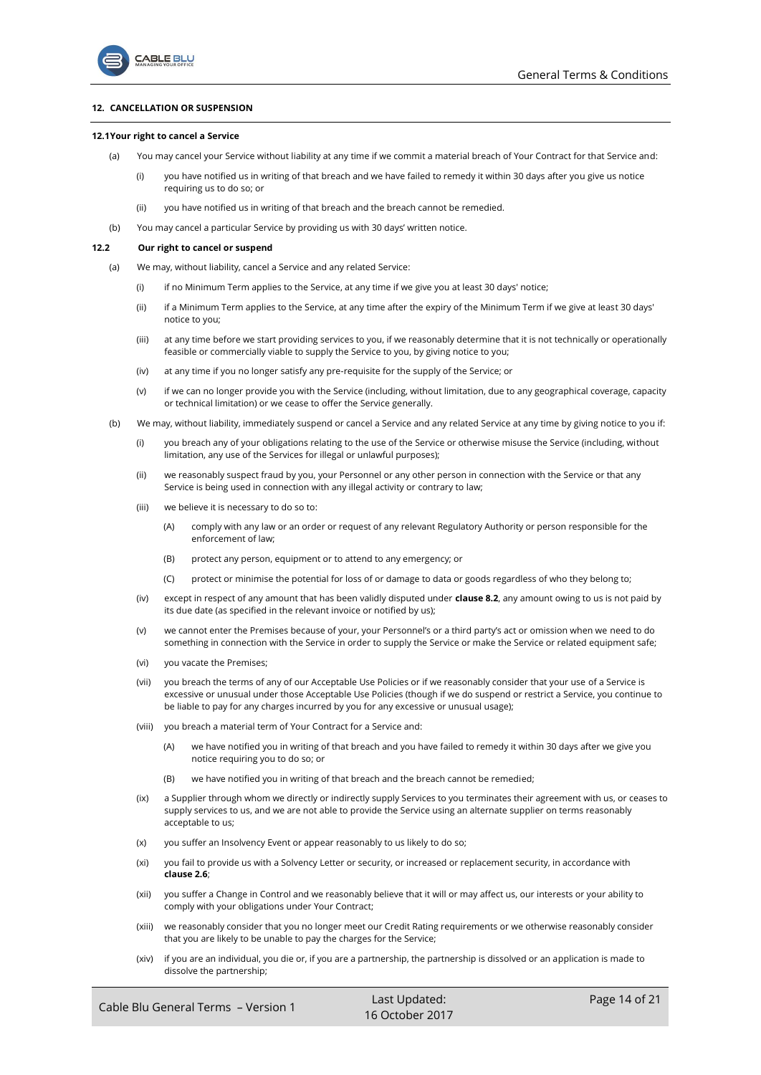## <span id="page-13-4"></span>**12. CANCELLATION OR SUSPENSION**

ABLE BLU

### <span id="page-13-5"></span><span id="page-13-1"></span>**12.1Your right to cancel a Service**

- (a) You may cancel your Service without liability at any time if we commit a material breach of Your Contract for that Service and:
	- (i) you have notified us in writing of that breach and we have failed to remedy it within 30 days after you give us notice requiring us to do so; or
	- (ii) you have notified us in writing of that breach and the breach cannot be remedied.
- (b) You may cancel a particular Service by providing us with 30 days' written notice.

#### <span id="page-13-2"></span><span id="page-13-0"></span>**12.2 Our right to cancel or suspend**

- (a) We may, without liability, cancel a Service and any related Service:
	- (i) if no Minimum Term applies to the Service, at any time if we give you at least 30 days' notice;
	- (ii) if a Minimum Term applies to the Service, at any time after the expiry of the Minimum Term if we give at least 30 days' notice to you;
	- (iii) at any time before we start providing services to you, if we reasonably determine that it is not technically or operationally feasible or commercially viable to supply the Service to you, by giving notice to you;
	- (iv) at any time if you no longer satisfy any pre-requisite for the supply of the Service; or
	- (v) if we can no longer provide you with the Service (including, without limitation, due to any geographical coverage, capacity or technical limitation) or we cease to offer the Service generally.
- <span id="page-13-3"></span>(b) We may, without liability, immediately suspend or cancel a Service and any related Service at any time by giving notice to you if:
	- (i) you breach any of your obligations relating to the use of the Service or otherwise misuse the Service (including, without limitation, any use of the Services for illegal or unlawful purposes);
	- (ii) we reasonably suspect fraud by you, your Personnel or any other person in connection with the Service or that any Service is being used in connection with any illegal activity or contrary to law;
	- (iii) we believe it is necessary to do so to:
		- (A) comply with any law or an order or request of any relevant Regulatory Authority or person responsible for the enforcement of law;
		- (B) protect any person, equipment or to attend to any emergency; or
		- (C) protect or minimise the potential for loss of or damage to data or goods regardless of who they belong to;
	- (iv) except in respect of any amount that has been validly disputed under **claus[e 8.2](#page-10-1)**, any amount owing to us is not paid by its due date (as specified in the relevant invoice or notified by us);
	- (v) we cannot enter the Premises because of your, your Personnel's or a third party's act or omission when we need to do something in connection with the Service in order to supply the Service or make the Service or related equipment safe;
	- (vi) you vacate the Premises;
	- (vii) you breach the terms of any of our Acceptable Use Policies or if we reasonably consider that your use of a Service is excessive or unusual under those Acceptable Use Policies (though if we do suspend or restrict a Service, you continue to be liable to pay for any charges incurred by you for any excessive or unusual usage);
	- (viii) you breach a material term of Your Contract for a Service and:
		- (A) we have notified you in writing of that breach and you have failed to remedy it within 30 days after we give you notice requiring you to do so; or
		- (B) we have notified you in writing of that breach and the breach cannot be remedied;
	- (ix) a Supplier through whom we directly or indirectly supply Services to you terminates their agreement with us, or ceases to supply services to us, and we are not able to provide the Service using an alternate supplier on terms reasonably acceptable to us;
	- (x) you suffer an Insolvency Event or appear reasonably to us likely to do so;
	- (xi) you fail to provide us with a Solvency Letter or security, or increased or replacement security, in accordance with **clause [2.6](#page-2-2)**;
	- (xii) you suffer a Change in Control and we reasonably believe that it will or may affect us, our interests or your ability to comply with your obligations under Your Contract;
	- (xiii) we reasonably consider that you no longer meet our Credit Rating requirements or we otherwise reasonably consider that you are likely to be unable to pay the charges for the Service;
	- (xiv) if you are an individual, you die or, if you are a partnership, the partnership is dissolved or an application is made to dissolve the partnership;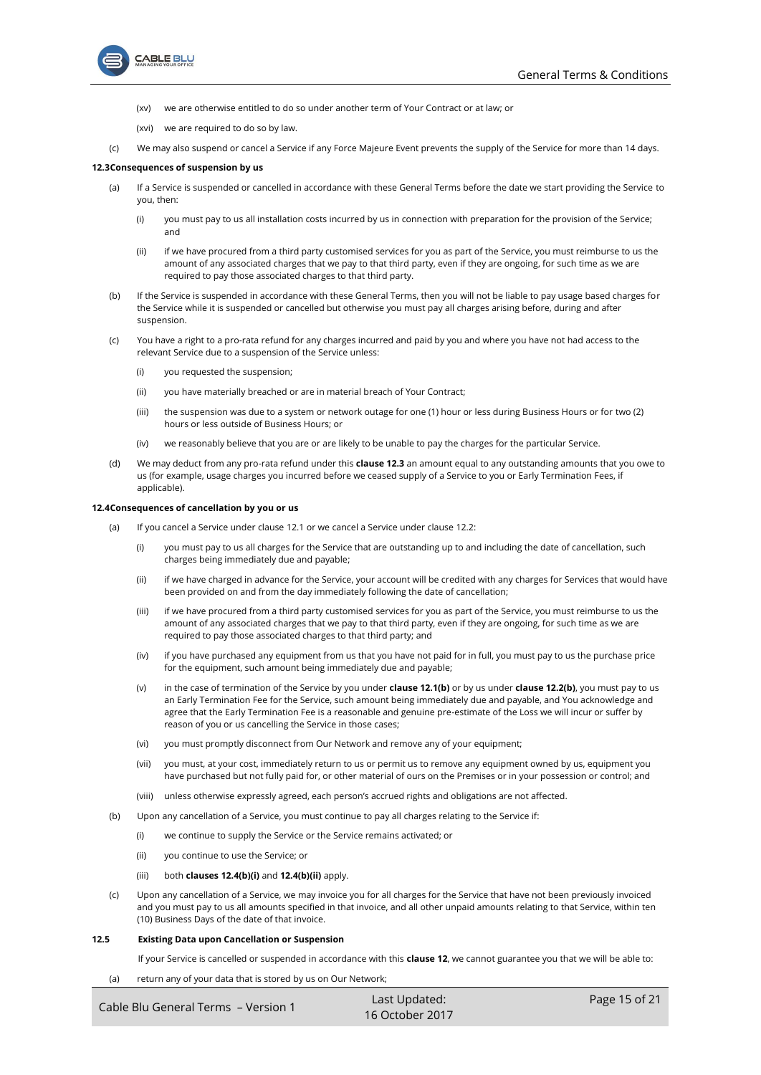



- (xv) we are otherwise entitled to do so under another term of Your Contract or at law; or
- (xvi) we are required to do so by law.
- (c) We may also suspend or cancel a Service if any Force Majeure Event prevents the supply of the Service for more than 14 days.

## <span id="page-14-0"></span>**12.3Consequences of suspension by us**

- (a) If a Service is suspended or cancelled in accordance with these General Terms before the date we start providing the Service to you, then:
	- (i) you must pay to us all installation costs incurred by us in connection with preparation for the provision of the Service; and
	- (ii) if we have procured from a third party customised services for you as part of the Service, you must reimburse to us the amount of any associated charges that we pay to that third party, even if they are ongoing, for such time as we are required to pay those associated charges to that third party.
- (b) If the Service is suspended in accordance with these General Terms, then you will not be liable to pay usage based charges for the Service while it is suspended or cancelled but otherwise you must pay all charges arising before, during and after suspension.
- (c) You have a right to a pro-rata refund for any charges incurred and paid by you and where you have not had access to the relevant Service due to a suspension of the Service unless:
	- (i) you requested the suspension;
	- (ii) you have materially breached or are in material breach of Your Contract;
	- (iii) the suspension was due to a system or network outage for one (1) hour or less during Business Hours or for two (2) hours or less outside of Business Hours; or
	- (iv) we reasonably believe that you are or are likely to be unable to pay the charges for the particular Service.
- (d) We may deduct from any pro-rata refund under this **clause [12.3](#page-14-0)** an amount equal to any outstanding amounts that you owe to us (for example, usage charges you incurred before we ceased supply of a Service to you or Early Termination Fees, if applicable).

#### <span id="page-14-3"></span>**12.4Consequences of cancellation by you or us**

- (a) If you cancel a Service under clause [12.1](#page-13-1) or we cancel a Service under clause [12.2:](#page-13-0)
	- (i) you must pay to us all charges for the Service that are outstanding up to and including the date of cancellation, such charges being immediately due and payable;
	- (ii) if we have charged in advance for the Service, your account will be credited with any charges for Services that would have been provided on and from the day immediately following the date of cancellation;
	- (iii) if we have procured from a third party customised services for you as part of the Service, you must reimburse to us the amount of any associated charges that we pay to that third party, even if they are ongoing, for such time as we are required to pay those associated charges to that third party; and
	- (iv) if you have purchased any equipment from us that you have not paid for in full, you must pay to us the purchase price for the equipment, such amount being immediately due and payable;
	- (v) in the case of termination of the Service by you under **clause [12.1\(b\)](#page-13-2)** or by us under **clause [12.2\(b\)](#page-13-3)**, you must pay to us an Early Termination Fee for the Service, such amount being immediately due and payable, and You acknowledge and agree that the Early Termination Fee is a reasonable and genuine pre-estimate of the Loss we will incur or suffer by reason of you or us cancelling the Service in those cases;
	- (vi) you must promptly disconnect from Our Network and remove any of your equipment;
	- (vii) you must, at your cost, immediately return to us or permit us to remove any equipment owned by us, equipment you have purchased but not fully paid for, or other material of ours on the Premises or in your possession or control; and
	- (viii) unless otherwise expressly agreed, each person's accrued rights and obligations are not affected.
- <span id="page-14-1"></span>(b) Upon any cancellation of a Service, you must continue to pay all charges relating to the Service if:
	- (i) we continue to supply the Service or the Service remains activated; or
	- (ii) you continue to use the Service; or
	- (iii) both **clause[s 12.4\(b\)\(i\)](#page-14-1)** and **[12.4\(b\)\(ii\)](#page-14-2)** apply.
- <span id="page-14-2"></span>(c) Upon any cancellation of a Service, we may invoice you for all charges for the Service that have not been previously invoiced and you must pay to us all amounts specified in that invoice, and all other unpaid amounts relating to that Service, within ten (10) Business Days of the date of that invoice.

## <span id="page-14-4"></span>**12.5 Existing Data upon Cancellation or Suspension**

If your Service is cancelled or suspended in accordance with this **claus[e 12](#page-13-4)**, we cannot guarantee you that we will be able to:

(a) return any of your data that is stored by us on Our Network;

| Cable Blu General Terms - Version 1 | Last Updated:     | Page 15 of 21 |
|-------------------------------------|-------------------|---------------|
|                                     | $16$ October 2017 |               |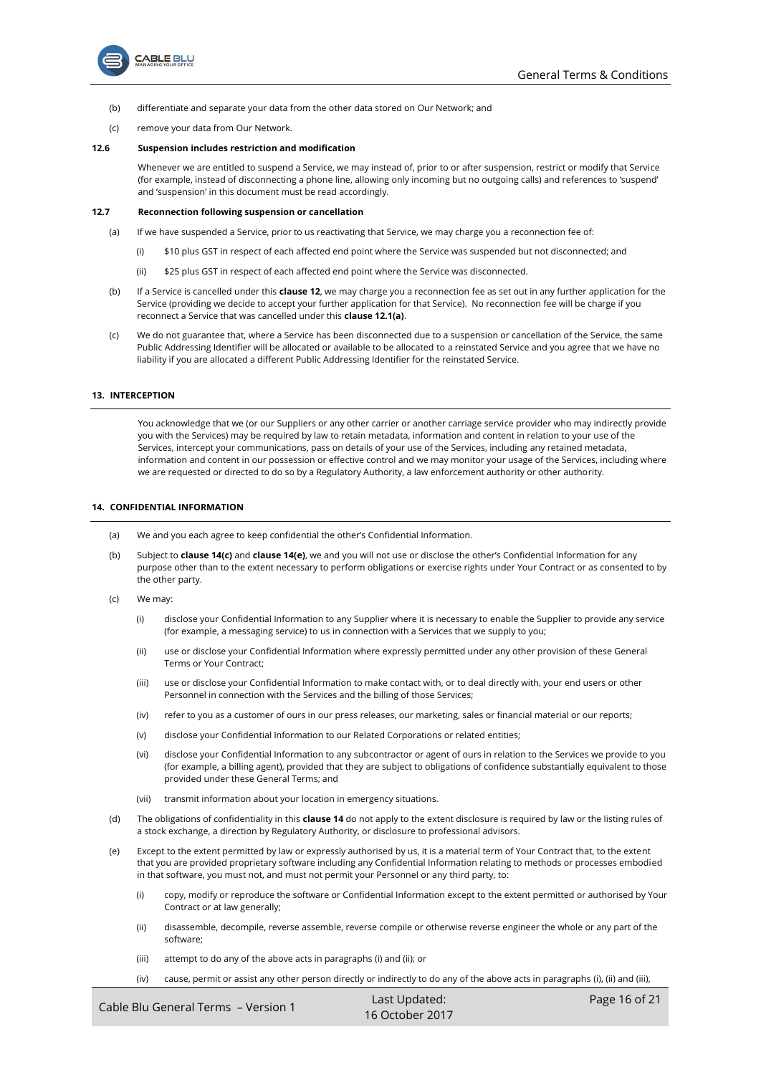

- (b) differentiate and separate your data from the other data stored on Our Network; and
- (c) remove your data from Our Network.

## **12.6 Suspension includes restriction and modification**

Whenever we are entitled to suspend a Service, we may instead of, prior to or after suspension, restrict or modify that Service (for example, instead of disconnecting a phone line, allowing only incoming but no outgoing calls) and references to 'suspend' and 'suspension' in this document must be read accordingly.

## **12.7 Reconnection following suspension or cancellation**

- (a) If we have suspended a Service, prior to us reactivating that Service, we may charge you a reconnection fee of:
	- (i) \$10 plus GST in respect of each affected end point where the Service was suspended but not disconnected; and
	- (ii) \$25 plus GST in respect of each affected end point where the Service was disconnected.
- (b) If a Service is cancelled under this **claus[e 12](#page-13-4)**, we may charge you a reconnection fee as set out in any further application for the Service (providing we decide to accept your further application for that Service). No reconnection fee will be charge if you reconnect a Service that was cancelled under this **claus[e 12.1\(a\)](#page-13-5)**.
- (c) We do not guarantee that, where a Service has been disconnected due to a suspension or cancellation of the Service, the same Public Addressing Identifier will be allocated or available to be allocated to a reinstated Service and you agree that we have no liability if you are allocated a different Public Addressing Identifier for the reinstated Service.

### **13. INTERCEPTION**

You acknowledge that we (or our Suppliers or any other carrier or another carriage service provider who may indirectly provide you with the Services) may be required by law to retain metadata, information and content in relation to your use of the Services, intercept your communications, pass on details of your use of the Services, including any retained metadata, information and content in our possession or effective control and we may monitor your usage of the Services, including where we are requested or directed to do so by a Regulatory Authority, a law enforcement authority or other authority.

#### <span id="page-15-2"></span>**14. CONFIDENTIAL INFORMATION**

- (a) We and you each agree to keep confidential the other's Confidential Information.
- (b) Subject to **claus[e 14\(c\)](#page-15-1)** and **claus[e 14\(e\)](#page-15-0)**, we and you will not use or disclose the other's Confidential Information for any purpose other than to the extent necessary to perform obligations or exercise rights under Your Contract or as consented to by the other party.
- <span id="page-15-1"></span>(c) We may:
	- (i) disclose your Confidential Information to any Supplier where it is necessary to enable the Supplier to provide any service (for example, a messaging service) to us in connection with a Services that we supply to you;
	- (ii) use or disclose your Confidential Information where expressly permitted under any other provision of these General Terms or Your Contract;
	- (iii) use or disclose your Confidential Information to make contact with, or to deal directly with, your end users or other Personnel in connection with the Services and the billing of those Services;
	- (iv) refer to you as a customer of ours in our press releases, our marketing, sales or financial material or our reports;
	- (v) disclose your Confidential Information to our Related Corporations or related entities;
	- (vi) disclose your Confidential Information to any subcontractor or agent of ours in relation to the Services we provide to you (for example, a billing agent), provided that they are subject to obligations of confidence substantially equivalent to those provided under these General Terms; and
	- (vii) transmit information about your location in emergency situations.
- (d) The obligations of confidentiality in this **claus[e 14](#page-15-2)** do not apply to the extent disclosure is required by law or the listing rules of a stock exchange, a direction by Regulatory Authority, or disclosure to professional advisors.
- <span id="page-15-3"></span><span id="page-15-0"></span>(e) Except to the extent permitted by law or expressly authorised by us, it is a material term of Your Contract that, to the extent that you are provided proprietary software including any Confidential Information relating to methods or processes embodied in that software, you must not, and must not permit your Personnel or any third party, to:
	- (i) copy, modify or reproduce the software or Confidential Information except to the extent permitted or authorised by Your Contract or at law generally;
	- (ii) disassemble, decompile, reverse assemble, reverse compile or otherwise reverse engineer the whole or any part of the software;
	- (iii) attempt to do any of the above acts in paragraph[s \(i\)](#page-15-3) an[d \(ii\);](#page-15-4) or
	- (iv) cause, permit or assist any other person directly or indirectly to do any of the above acts in paragraphs [\(i\),](#page-15-3) [\(ii\)](#page-15-4) an[d \(iii\),](#page-15-5)

<span id="page-15-5"></span><span id="page-15-4"></span>

| Cable Blu General Terms - Version 1 | Last Updated:   | Page 16 of 21 |
|-------------------------------------|-----------------|---------------|
|                                     | 16 October 2017 |               |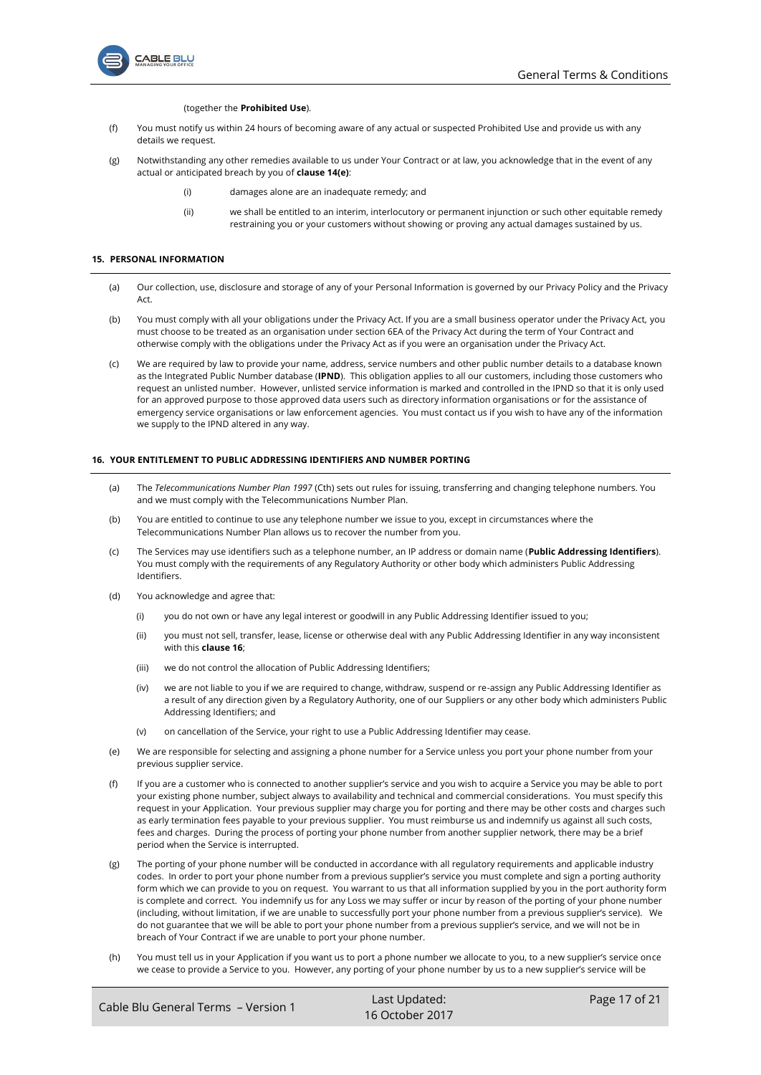

## (together the **Prohibited Use**).

- (f) You must notify us within 24 hours of becoming aware of any actual or suspected Prohibited Use and provide us with any details we request.
- (g) Notwithstanding any other remedies available to us under Your Contract or at law, you acknowledge that in the event of any actual or anticipated breach by you of **claus[e 14\(](#page-15-2)[e\)](#page-15-0)**:
	- (i) damages alone are an inadequate remedy; and
	- (ii) we shall be entitled to an interim, interlocutory or permanent injunction or such other equitable remedy restraining you or your customers without showing or proving any actual damages sustained by us.

## **15. PERSONAL INFORMATION**

- (a) Our collection, use, disclosure and storage of any of your Personal Information is governed by our Privacy Policy and the Privacy Act.
- (b) You must comply with all your obligations under the Privacy Act. If you are a small business operator under the Privacy Act, you must choose to be treated as an organisation under section 6EA of the Privacy Act during the term of Your Contract and otherwise comply with the obligations under the Privacy Act as if you were an organisation under the Privacy Act.
- (c) We are required by law to provide your name, address, service numbers and other public number details to a database known as the Integrated Public Number database (**IPND**). This obligation applies to all our customers, including those customers who request an unlisted number. However, unlisted service information is marked and controlled in the IPND so that it is only used for an approved purpose to those approved data users such as directory information organisations or for the assistance of emergency service organisations or law enforcement agencies. You must contact us if you wish to have any of the information we supply to the IPND altered in any way.

## <span id="page-16-0"></span>**16. YOUR ENTITLEMENT TO PUBLIC ADDRESSING IDENTIFIERS AND NUMBER PORTING**

- (a) The *Telecommunications Number Plan 1997* (Cth) sets out rules for issuing, transferring and changing telephone numbers. You and we must comply with the Telecommunications Number Plan.
- (b) You are entitled to continue to use any telephone number we issue to you, except in circumstances where the Telecommunications Number Plan allows us to recover the number from you.
- <span id="page-16-1"></span>(c) The Services may use identifiers such as a telephone number, an IP address or domain name (**Public Addressing Identifiers**). You must comply with the requirements of any Regulatory Authority or other body which administers Public Addressing Identifiers.
- (d) You acknowledge and agree that:
	- (i) you do not own or have any legal interest or goodwill in any Public Addressing Identifier issued to you;
	- (ii) you must not sell, transfer, lease, license or otherwise deal with any Public Addressing Identifier in any way inconsistent with this **clause [16](#page-16-0)**;
	- (iii) we do not control the allocation of Public Addressing Identifiers;
	- (iv) we are not liable to you if we are required to change, withdraw, suspend or re-assign any Public Addressing Identifier as a result of any direction given by a Regulatory Authority, one of our Suppliers or any other body which administers Public Addressing Identifiers; and
	- (v) on cancellation of the Service, your right to use a Public Addressing Identifier may cease.
- (e) We are responsible for selecting and assigning a phone number for a Service unless you port your phone number from your previous supplier service.
- (f) If you are a customer who is connected to another supplier's service and you wish to acquire a Service you may be able to port your existing phone number, subject always to availability and technical and commercial considerations. You must specify this request in your Application. Your previous supplier may charge you for porting and there may be other costs and charges such as early termination fees payable to your previous supplier. You must reimburse us and indemnify us against all such costs, fees and charges. During the process of porting your phone number from another supplier network, there may be a brief period when the Service is interrupted.
- (g) The porting of your phone number will be conducted in accordance with all regulatory requirements and applicable industry codes. In order to port your phone number from a previous supplier's service you must complete and sign a porting authority form which we can provide to you on request. You warrant to us that all information supplied by you in the port authority form is complete and correct. You indemnify us for any Loss we may suffer or incur by reason of the porting of your phone number (including, without limitation, if we are unable to successfully port your phone number from a previous supplier's service). We do not guarantee that we will be able to port your phone number from a previous supplier's service, and we will not be in breach of Your Contract if we are unable to port your phone number.
- (h) You must tell us in your Application if you want us to port a phone number we allocate to you, to a new supplier's service once we cease to provide a Service to you. However, any porting of your phone number by us to a new supplier's service will be

| Cable Blu General Terms - Version 1 | Last Updated:   | Page 17 of 21 |
|-------------------------------------|-----------------|---------------|
|                                     | 16 October 2017 |               |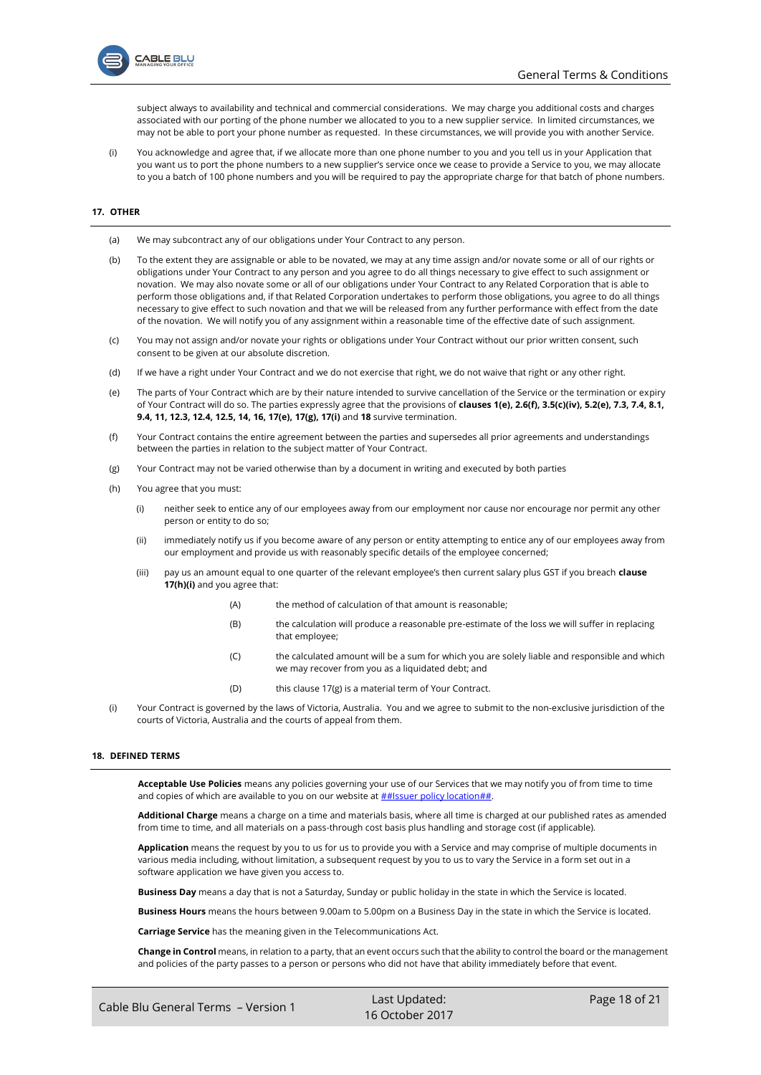

subject always to availability and technical and commercial considerations. We may charge you additional costs and charges associated with our porting of the phone number we allocated to you to a new supplier service. In limited circumstances, we may not be able to port your phone number as requested. In these circumstances, we will provide you with another Service.

(i) You acknowledge and agree that, if we allocate more than one phone number to you and you tell us in your Application that you want us to port the phone numbers to a new supplier's service once we cease to provide a Service to you, we may allocate to you a batch of 100 phone numbers and you will be required to pay the appropriate charge for that batch of phone numbers.

## **17. OTHER**

- (a) We may subcontract any of our obligations under Your Contract to any person.
- (b) To the extent they are assignable or able to be novated, we may at any time assign and/or novate some or all of our rights or obligations under Your Contract to any person and you agree to do all things necessary to give effect to such assignment or novation. We may also novate some or all of our obligations under Your Contract to any Related Corporation that is able to perform those obligations and, if that Related Corporation undertakes to perform those obligations, you agree to do all things necessary to give effect to such novation and that we will be released from any further performance with effect from the date of the novation. We will notify you of any assignment within a reasonable time of the effective date of such assignment.
- (c) You may not assign and/or novate your rights or obligations under Your Contract without our prior written consent, such consent to be given at our absolute discretion.
- (d) If we have a right under Your Contract and we do not exercise that right, we do not waive that right or any other right.
- <span id="page-17-0"></span>(e) The parts of Your Contract which are by their nature intended to survive cancellation of the Service or the termination or expiry of Your Contract will do so. The parties expressly agree that the provisions of **clauses [1\(e\),](#page-0-5) [2.6\(f\),](#page-3-0) [3.5\(c\)\(iv\),](#page-6-2) [5.2\(e\),](#page-7-0) [7.3,](#page-9-2) [7.4,](#page-9-3) [8.1,](#page-9-1) [9.4,](#page-11-2) [11,](#page-11-3) [12.3,](#page-14-0) [12.4,](#page-14-3) [12.5,](#page-14-4) [14,](#page-15-2) [16,](#page-16-0) [17\(e\),](#page-17-0) [17\(g\),](#page-17-1) [17\(i\)](#page-17-2)** and **[18](#page-17-3)** survive termination.
- (f) Your Contract contains the entire agreement between the parties and supersedes all prior agreements and understandings between the parties in relation to the subject matter of Your Contract.
- <span id="page-17-1"></span>(g) Your Contract may not be varied otherwise than by a document in writing and executed by both parties
- <span id="page-17-4"></span>(h) You agree that you must:
	- (i) neither seek to entice any of our employees away from our employment nor cause nor encourage nor permit any other person or entity to do so;
	- (ii) immediately notify us if you become aware of any person or entity attempting to entice any of our employees away from our employment and provide us with reasonably specific details of the employee concerned;
	- (iii) pay us an amount equal to one quarter of the relevant employee's then current salary plus GST if you breach **clause [17\(h\)\(i\)](#page-17-4)** and you agree that:
		- (A) the method of calculation of that amount is reasonable;
		- (B) the calculation will produce a reasonable pre-estimate of the loss we will suffer in replacing that employee;
		- (C) the calculated amount will be a sum for which you are solely liable and responsible and which we may recover from you as a liquidated debt; and
		- (D) this clause  $17(g)$  is a material term of Your Contract.
- <span id="page-17-2"></span>(i) Your Contract is governed by the laws of Victoria, Australia. You and we agree to submit to the non-exclusive jurisdiction of the courts of Victoria, Australia and the courts of appeal from them.

## <span id="page-17-3"></span>**18. DEFINED TERMS**

**Acceptable Use Policies** means any policies governing your use of our Services that we may notify you of from time to time and copies of which are available to you on our website at  $##|s<sub>sup</sub>$  policy location##.

**Additional Charge** means a charge on a time and materials basis, where all time is charged at our published rates as amended from time to time, and all materials on a pass-through cost basis plus handling and storage cost (if applicable).

**Application** means the request by you to us for us to provide you with a Service and may comprise of multiple documents in various media including, without limitation, a subsequent request by you to us to vary the Service in a form set out in a software application we have given you access to.

**Business Day** means a day that is not a Saturday, Sunday or public holiday in the state in which the Service is located.

**Business Hours** means the hours between 9.00am to 5.00pm on a Business Day in the state in which the Service is located.

**Carriage Service** has the meaning given in the Telecommunications Act.

**Change in Control** means, in relation to a party, that an event occurs such that the ability to control the board or the management and policies of the party passes to a person or persons who did not have that ability immediately before that event.

Cable Blu General Terms – Version 1 Last Updated: 16 October 2017 Page 18 of 21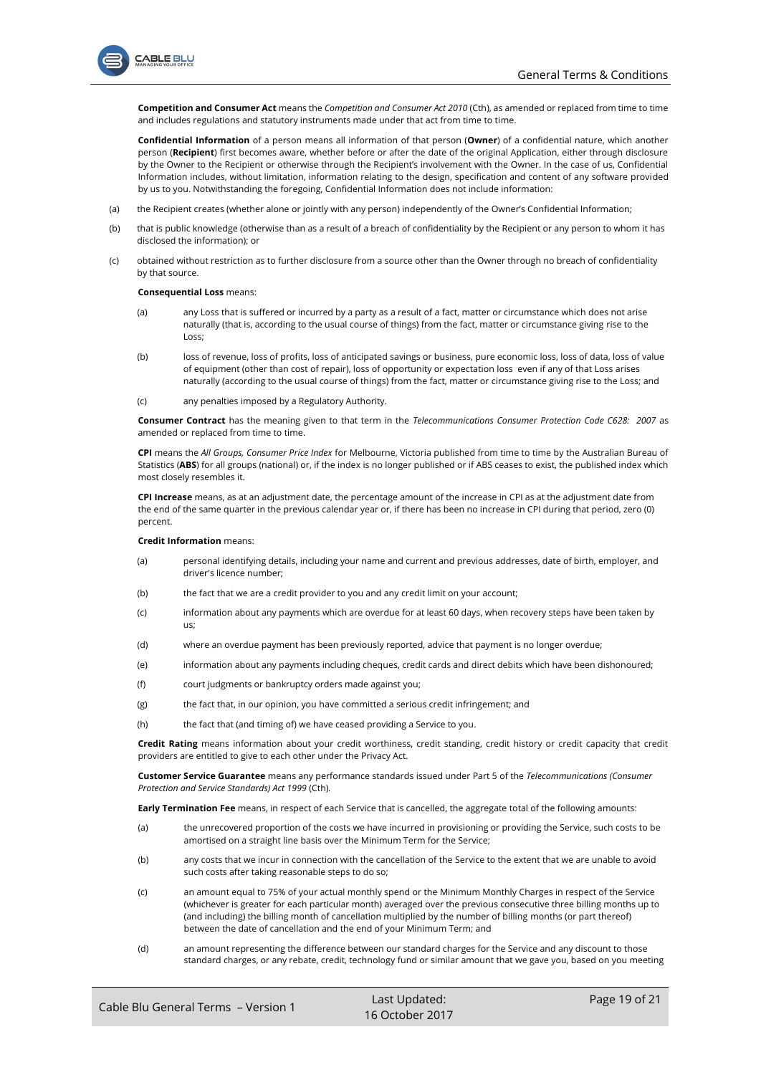



**Competition and Consumer Act** means the *Competition and Consumer Act 2010* (Cth), as amended or replaced from time to time and includes regulations and statutory instruments made under that act from time to time.

**Confidential Information** of a person means all information of that person (**Owner**) of a confidential nature, which another person (**Recipient**) first becomes aware, whether before or after the date of the original Application, either through disclosure by the Owner to the Recipient or otherwise through the Recipient's involvement with the Owner. In the case of us, Confidential Information includes, without limitation, information relating to the design, specification and content of any software provided by us to you. Notwithstanding the foregoing, Confidential Information does not include information:

- (a) the Recipient creates (whether alone or jointly with any person) independently of the Owner's Confidential Information;
- (b) that is public knowledge (otherwise than as a result of a breach of confidentiality by the Recipient or any person to whom it has disclosed the information); or
- (c) obtained without restriction as to further disclosure from a source other than the Owner through no breach of confidentiality by that source.

#### **Consequential Loss** means:

- (a) any Loss that is suffered or incurred by a party as a result of a fact, matter or circumstance which does not arise naturally (that is, according to the usual course of things) from the fact, matter or circumstance giving rise to the Loss;
- (b) loss of revenue, loss of profits, loss of anticipated savings or business, pure economic loss, loss of data, loss of value of equipment (other than cost of repair), loss of opportunity or expectation loss even if any of that Loss arises naturally (according to the usual course of things) from the fact, matter or circumstance giving rise to the Loss; and
- (c) any penalties imposed by a Regulatory Authority.

**Consumer Contract** has the meaning given to that term in the *Telecommunications Consumer Protection Code C628: 2007* as amended or replaced from time to time.

**CPI** means the *All Groups, Consumer Price Index* for Melbourne, Victoria published from time to time by the Australian Bureau of Statistics (**ABS**) for all groups (national) or, if the index is no longer published or if ABS ceases to exist, the published index which most closely resembles it.

**CPI Increase** means, as at an adjustment date, the percentage amount of the increase in CPI as at the adjustment date from the end of the same quarter in the previous calendar year or, if there has been no increase in CPI during that period, zero (0) percent.

#### **Credit Information** means:

- (a) personal identifying details, including your name and current and previous addresses, date of birth, employer, and driver's licence number;
- (b) the fact that we are a credit provider to you and any credit limit on your account;
- (c) information about any payments which are overdue for at least 60 days, when recovery steps have been taken by us;
- (d) where an overdue payment has been previously reported, advice that payment is no longer overdue;
- (e) information about any payments including cheques, credit cards and direct debits which have been dishonoured;
- (f) court judgments or bankruptcy orders made against you;
- (g) the fact that, in our opinion, you have committed a serious credit infringement; and
- (h) the fact that (and timing of) we have ceased providing a Service to you.

**Credit Rating** means information about your credit worthiness, credit standing, credit history or credit capacity that credit providers are entitled to give to each other under the Privacy Act.

**Customer Service Guarantee** means any performance standards issued under Part 5 of the *Telecommunications (Consumer Protection and Service Standards) Act 1999* (Cth)*.*

**Early Termination Fee** means, in respect of each Service that is cancelled, the aggregate total of the following amounts:

- (a) the unrecovered proportion of the costs we have incurred in provisioning or providing the Service, such costs to be amortised on a straight line basis over the Minimum Term for the Service;
- (b) any costs that we incur in connection with the cancellation of the Service to the extent that we are unable to avoid such costs after taking reasonable steps to do so;
- (c) an amount equal to 75% of your actual monthly spend or the Minimum Monthly Charges in respect of the Service (whichever is greater for each particular month) averaged over the previous consecutive three billing months up to (and including) the billing month of cancellation multiplied by the number of billing months (or part thereof) between the date of cancellation and the end of your Minimum Term; and
- (d) an amount representing the difference between our standard charges for the Service and any discount to those standard charges, or any rebate, credit, technology fund or similar amount that we gave you, based on you meeting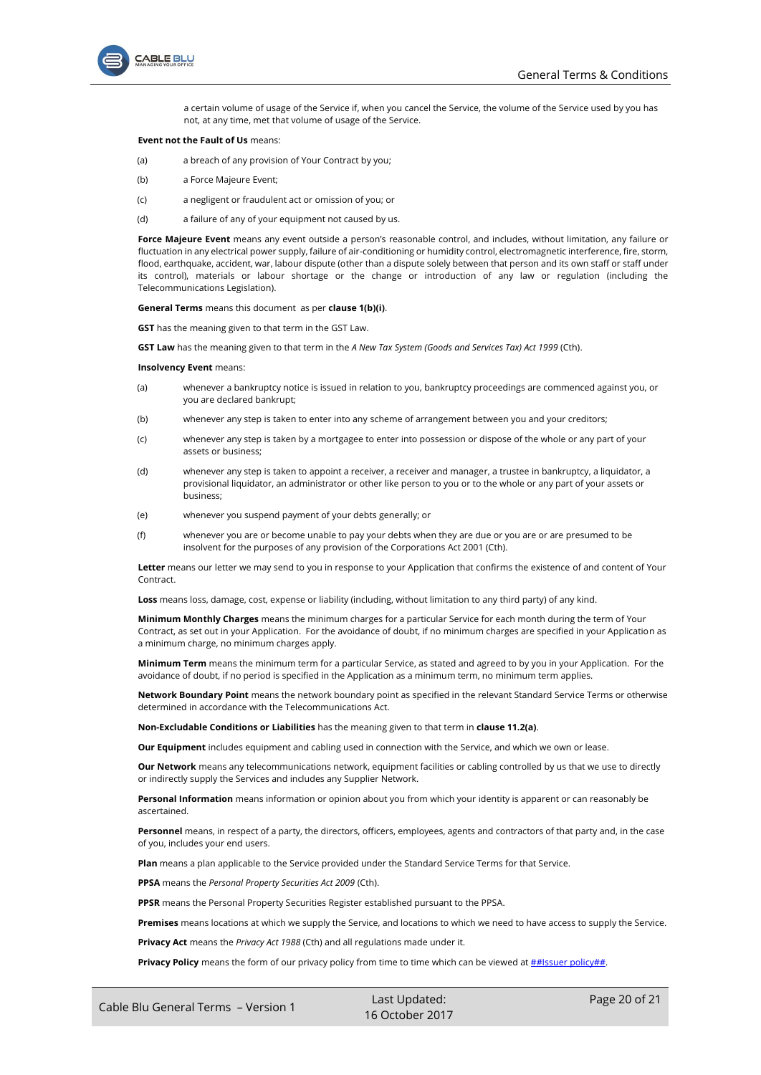

a certain volume of usage of the Service if, when you cancel the Service, the volume of the Service used by you has not, at any time, met that volume of usage of the Service.

#### **Event not the Fault of Us** means:

- (a) a breach of any provision of Your Contract by you;
- (b) a Force Majeure Event;
- (c) a negligent or fraudulent act or omission of you; or
- (d) a failure of any of your equipment not caused by us.

**Force Majeure Event** means any event outside a person's reasonable control, and includes, without limitation, any failure or fluctuation in any electrical power supply, failure of air-conditioning or humidity control, electromagnetic interference, fire, storm, flood, earthquake, accident, war, labour dispute (other than a dispute solely between that person and its own staff or staff under its control), materials or labour shortage or the change or introduction of any law or regulation (including the Telecommunications Legislation).

#### **General Terms** means this document as per **clause [1\(b\)\(i\)](#page-0-6)**.

**GST** has the meaning given to that term in the GST Law.

**GST Law** has the meaning given to that term in the *A New Tax System (Goods and Services Tax) Act 1999* (Cth).

#### **Insolvency Event** means:

- (a) whenever a bankruptcy notice is issued in relation to you, bankruptcy proceedings are commenced against you, or you are declared bankrupt;
- (b) whenever any step is taken to enter into any scheme of arrangement between you and your creditors;
- (c) whenever any step is taken by a mortgagee to enter into possession or dispose of the whole or any part of your assets or business;
- (d) whenever any step is taken to appoint a receiver, a receiver and manager, a trustee in bankruptcy, a liquidator, a provisional liquidator, an administrator or other like person to you or to the whole or any part of your assets or business;
- (e) whenever you suspend payment of your debts generally; or
- (f) whenever you are or become unable to pay your debts when they are due or you are or are presumed to be insolvent for the purposes of any provision of the Corporations Act 2001 (Cth).

**Letter** means our letter we may send to you in response to your Application that confirms the existence of and content of Your **Contract** 

**Loss** means loss, damage, cost, expense or liability (including, without limitation to any third party) of any kind.

**Minimum Monthly Charges** means the minimum charges for a particular Service for each month during the term of Your Contract, as set out in your Application. For the avoidance of doubt, if no minimum charges are specified in your Application as a minimum charge, no minimum charges apply.

**Minimum Term** means the minimum term for a particular Service, as stated and agreed to by you in your Application. For the avoidance of doubt, if no period is specified in the Application as a minimum term, no minimum term applies.

**Network Boundary Point** means the network boundary point as specified in the relevant Standard Service Terms or otherwise determined in accordance with the Telecommunications Act.

**Non-Excludable Conditions or Liabilities** has the meaning given to that term in **clause [11.2\(a\)](#page-11-4)**.

**Our Equipment** includes equipment and cabling used in connection with the Service, and which we own or lease.

**Our Network** means any telecommunications network, equipment facilities or cabling controlled by us that we use to directly or indirectly supply the Services and includes any Supplier Network.

**Personal Information** means information or opinion about you from which your identity is apparent or can reasonably be ascertained.

**Personnel** means, in respect of a party, the directors, officers, employees, agents and contractors of that party and, in the case of you, includes your end users.

Plan means a plan applicable to the Service provided under the Standard Service Terms for that Service.

**PPSA** means the *Personal Property Securities Act 2009* (Cth).

**PPSR** means the Personal Property Securities Register established pursuant to the PPSA.

**Premises** means locations at which we supply the Service, and locations to which we need to have access to supply the Service.

**Privacy Act** means the *Privacy Act 1988* (Cth) and all regulations made under it.

**Privacy Policy** means the form of our privacy policy from time to time which can be viewed at **##Issuer** policy##.